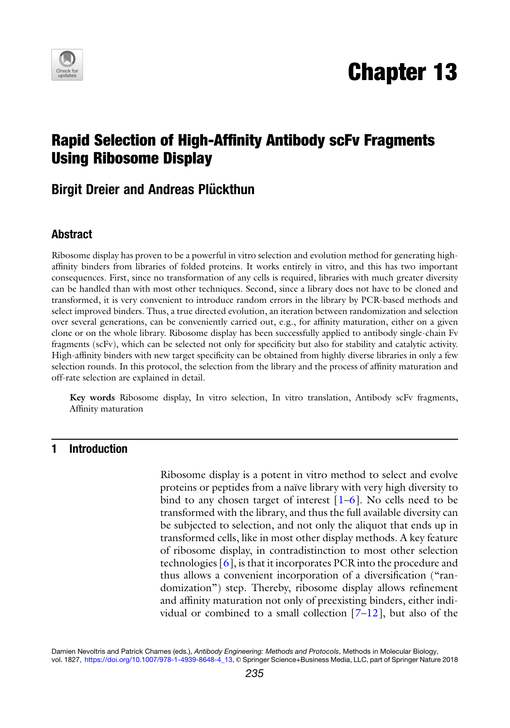

# Chapter 13

# Rapid Selection of High-Affinity Antibody scFv Fragments Using Ribosome Display

## Birgit Dreier and Andreas Plückthun

#### Abstract

Ribosome display has proven to be a powerful in vitro selection and evolution method for generating highaffinity binders from libraries of folded proteins. It works entirely in vitro, and this has two important consequences. First, since no transformation of any cells is required, libraries with much greater diversity can be handled than with most other techniques. Second, since a library does not have to be cloned and transformed, it is very convenient to introduce random errors in the library by PCR-based methods and select improved binders. Thus, a true directed evolution, an iteration between randomization and selection over several generations, can be conveniently carried out, e.g., for affinity maturation, either on a given clone or on the whole library. Ribosome display has been successfully applied to antibody single-chain Fv fragments (scFv), which can be selected not only for specificity but also for stability and catalytic activity. High-affinity binders with new target specificity can be obtained from highly diverse libraries in only a few selection rounds. In this protocol, the selection from the library and the process of affinity maturation and off-rate selection are explained in detail.

Key words Ribosome display, In vitro selection, In vitro translation, Antibody scFv fragments, Affinity maturation

#### 1 Introduction

Ribosome display is a potent in vitro method to select and evolve proteins or peptides from a naïve library with very high diversity to bind to any chosen target of interest  $[1-6]$ . No cells need to be transformed with the library, and thus the full available diversity can be subjected to selection, and not only the aliquot that ends up in transformed cells, like in most other display methods. A key feature of ribosome display, in contradistinction to most other selection technologies [\[6\]](#page-29-0), is that it incorporates PCR into the procedure and thus allows a convenient incorporation of a diversification ("randomization") step. Thereby, ribosome display allows refinement and affinity maturation not only of preexisting binders, either individual or combined to a small collection  $[7-12]$ , but also of the

Damien Nevoltris and Patrick Chames (eds.), Antibody Engineering: Methods and Protocols, Methods in Molecular Biology, vol. 1827, [https://doi.org/10.1007/978-1-4939-8648-4\\_13](https://doi.org/10.1007/978-1-4939-8648-4_13), © Springer Science+Business Media, LLC, part of Springer Nature 2018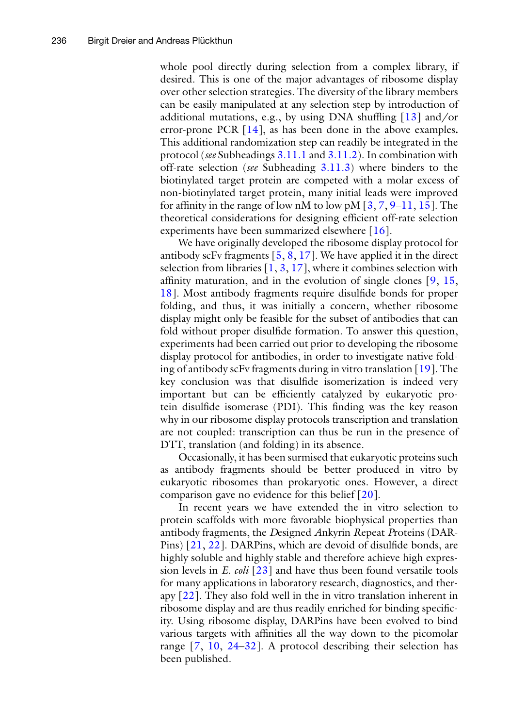whole pool directly during selection from a complex library, if desired. This is one of the major advantages of ribosome display over other selection strategies. The diversity of the library members can be easily manipulated at any selection step by introduction of additional mutations, e.g., by using DNA shuffling [[13\]](#page-30-0) and/or error-prone PCR [\[14\]](#page-30-0), as has been done in the above examples. This additional randomization step can readily be integrated in the protocol (see Subheadings [3.11.1](#page-20-0) and [3.11.2\)](#page-20-0). In combination with off-rate selection (see Subheading  $3.11.3$ ) where binders to the biotinylated target protein are competed with a molar excess of non-biotinylated target protein, many initial leads were improved for affinity in the range of low nM to low pM  $\left[3, 7, 9-11, 15\right]$  $\left[3, 7, 9-11, 15\right]$  $\left[3, 7, 9-11, 15\right]$  $\left[3, 7, 9-11, 15\right]$  $\left[3, 7, 9-11, 15\right]$  $\left[3, 7, 9-11, 15\right]$  $\left[3, 7, 9-11, 15\right]$ . The theoretical considerations for designing efficient off-rate selection experiments have been summarized elsewhere [[16](#page-30-0)].

We have originally developed the ribosome display protocol for antibody scFv fragments  $[5, 8, 17]$  $[5, 8, 17]$  $[5, 8, 17]$  $[5, 8, 17]$  $[5, 8, 17]$ . We have applied it in the direct selection from libraries  $[1, 3, 17]$  $[1, 3, 17]$  $[1, 3, 17]$  $[1, 3, 17]$  $[1, 3, 17]$  $[1, 3, 17]$  $[1, 3, 17]$ , where it combines selection with affinity maturation, and in the evolution of single clones [[9,](#page-30-0) [15,](#page-30-0) [18](#page-30-0)]. Most antibody fragments require disulfide bonds for proper folding, and thus, it was initially a concern, whether ribosome display might only be feasible for the subset of antibodies that can fold without proper disulfide formation. To answer this question, experiments had been carried out prior to developing the ribosome display protocol for antibodies, in order to investigate native folding of antibody scFv fragments during in vitro translation [[19\]](#page-30-0). The key conclusion was that disulfide isomerization is indeed very important but can be efficiently catalyzed by eukaryotic protein disulfide isomerase (PDI). This finding was the key reason why in our ribosome display protocols transcription and translation are not coupled: transcription can thus be run in the presence of DTT, translation (and folding) in its absence.

Occasionally, it has been surmised that eukaryotic proteins such as antibody fragments should be better produced in vitro by eukaryotic ribosomes than prokaryotic ones. However, a direct comparison gave no evidence for this belief [[20\]](#page-30-0).

In recent years we have extended the in vitro selection to protein scaffolds with more favorable biophysical properties than antibody fragments, the Designed Ankyrin Repeat Proteins (DAR-Pins) [[21](#page-30-0), [22](#page-30-0)]. DARPins, which are devoid of disulfide bonds, are highly soluble and highly stable and therefore achieve high expression levels in E.  $\text{coli}$  [[23](#page-30-0)] and have thus been found versatile tools for many applications in laboratory research, diagnostics, and therapy [[22\]](#page-30-0). They also fold well in the in vitro translation inherent in ribosome display and are thus readily enriched for binding specificity. Using ribosome display, DARPins have been evolved to bind various targets with affinities all the way down to the picomolar range [\[7](#page-30-0), [10](#page-30-0), [24–](#page-30-0)[32\]](#page-31-0). A protocol describing their selection has been published.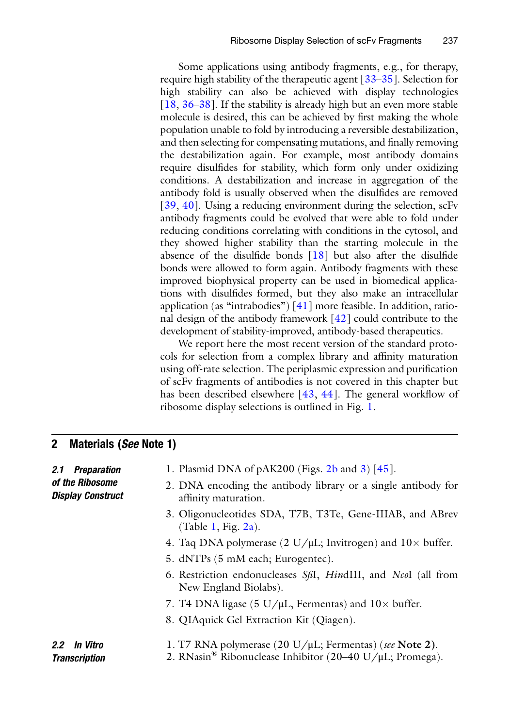<span id="page-2-0"></span>Some applications using antibody fragments, e.g., for therapy, require high stability of the therapeutic agent  $\lceil 33-35 \rceil$ . Selection for high stability can also be achieved with display technologies [[18](#page-30-0), [36–38\]](#page-31-0). If the stability is already high but an even more stable molecule is desired, this can be achieved by first making the whole population unable to fold by introducing a reversible destabilization, and then selecting for compensating mutations, and finally removing the destabilization again. For example, most antibody domains require disulfides for stability, which form only under oxidizing conditions. A destabilization and increase in aggregation of the antibody fold is usually observed when the disulfides are removed [[39](#page-31-0), [40](#page-31-0)]. Using a reducing environment during the selection, scFv antibody fragments could be evolved that were able to fold under reducing conditions correlating with conditions in the cytosol, and they showed higher stability than the starting molecule in the absence of the disulfide bonds [\[18\]](#page-30-0) but also after the disulfide bonds were allowed to form again. Antibody fragments with these improved biophysical property can be used in biomedical applications with disulfides formed, but they also make an intracellular application (as "intrabodies")  $[41]$  $[41]$  $[41]$  more feasible. In addition, rational design of the antibody framework [\[42\]](#page-31-0) could contribute to the development of stability-improved, antibody-based therapeutics.

We report here the most recent version of the standard protocols for selection from a complex library and affinity maturation using off-rate selection. The periplasmic expression and purification of scFv fragments of antibodies is not covered in this chapter but has been described elsewhere [[43](#page-31-0), [44\]](#page-32-0). The general workflow of ribosome display selections is outlined in Fig. [1](#page-3-0).

#### 2 Materials (See Note 1)

| <b>Preparation</b><br>2.1                   | 1. Plasmid DNA of $pAK200$ (Figs. 2b and 3) [45].                                       |  |  |  |  |  |
|---------------------------------------------|-----------------------------------------------------------------------------------------|--|--|--|--|--|
| of the Ribosome<br><b>Display Construct</b> | 2. DNA encoding the antibody library or a single antibody for<br>affinity maturation.   |  |  |  |  |  |
|                                             | 3. Oligonucleotides SDA, T7B, T3Te, Gene-IIIAB, and ABrev<br>(Table 1, Fig. $2a$ ).     |  |  |  |  |  |
|                                             | 4. Taq DNA polymerase $(2 U/\mu L;$ Invitrogen) and $10\times$ buffer.                  |  |  |  |  |  |
|                                             | 5. dNTPs (5 mM each; Eurogentec).                                                       |  |  |  |  |  |
|                                             | 6. Restriction endonucleases SfiI, HindIII, and NcoI (all from<br>New England Biolabs). |  |  |  |  |  |
|                                             | 7. T4 DNA ligase (5 U/ $\mu$ L, Fermentas) and $10\times$ buffer.                       |  |  |  |  |  |
|                                             | 8. QIAquick Gel Extraction Kit (Qiagen).                                                |  |  |  |  |  |
| 2.2 In Vitro                                | 1. T7 RNA polymerase $(20 \text{ U}/\mu\text{L}$ ; Fermentas) (see Note 2).             |  |  |  |  |  |
| <b>Transcription</b>                        | 2. RNasin <sup>®</sup> Ribonuclease Inhibitor (20–40 U/µL; Promega).                    |  |  |  |  |  |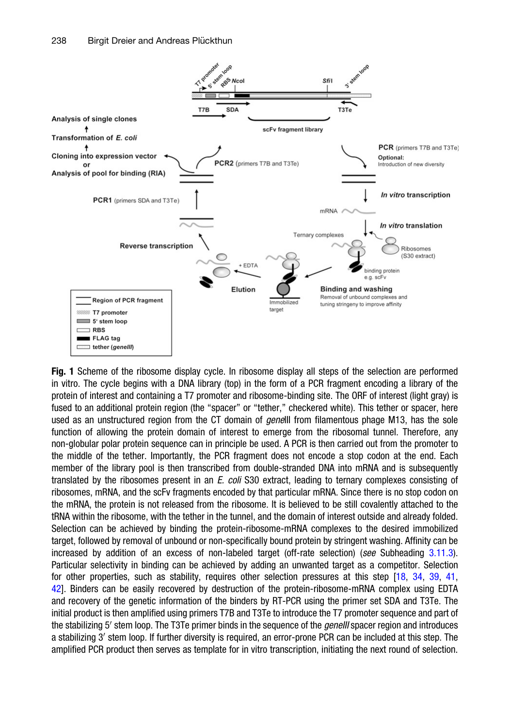<span id="page-3-0"></span>

Fig. 1 Scheme of the ribosome display cycle. In ribosome display all steps of the selection are performed in vitro. The cycle begins with a DNA library (top) in the form of a PCR fragment encoding a library of the protein of interest and containing a T7 promoter and ribosome-binding site. The ORF of interest (light gray) is fused to an additional protein region (the "spacer" or "tether," checkered white). This tether or spacer, here used as an unstructured region from the CT domain of *gene*lli from filamentous phage M13, has the sole function of allowing the protein domain of interest to emerge from the ribosomal tunnel. Therefore, any non-globular polar protein sequence can in principle be used. A PCR is then carried out from the promoter to the middle of the tether. Importantly, the PCR fragment does not encode a stop codon at the end. Each member of the library pool is then transcribed from double-stranded DNA into mRNA and is subsequently translated by the ribosomes present in an E. coli S30 extract, leading to ternary complexes consisting of ribosomes, mRNA, and the scFv fragments encoded by that particular mRNA. Since there is no stop codon on the mRNA, the protein is not released from the ribosome. It is believed to be still covalently attached to the tRNA within the ribosome, with the tether in the tunnel, and the domain of interest outside and already folded. Selection can be achieved by binding the protein-ribosome-mRNA complexes to the desired immobilized target, followed by removal of unbound or non-specifically bound protein by stringent washing. Affinity can be increased by addition of an excess of non-labeled target (off-rate selection) (see Subheading [3.11.3\)](#page-21-0). Particular selectivity in binding can be achieved by adding an unwanted target as a competitor. Selection for other properties, such as stability, requires other selection pressures at this step [\[18,](#page-30-0) [34](#page-31-0), [39,](#page-31-0) [41](#page-31-0), [42\]](#page-31-0). Binders can be easily recovered by destruction of the protein-ribosome-mRNA complex using EDTA and recovery of the genetic information of the binders by RT-PCR using the primer set SDA and T3Te. The initial product is then amplified using primers T7B and T3Te to introduce the T7 promoter sequence and part of the stabilizing 5' stem loop. The T3Te primer binds in the sequence of the *genelli* spacer region and introduces a stabilizing 3' stem loop. If further diversity is required, an error-prone PCR can be included at this step. The amplified PCR product then serves as template for in vitro transcription, initiating the next round of selection.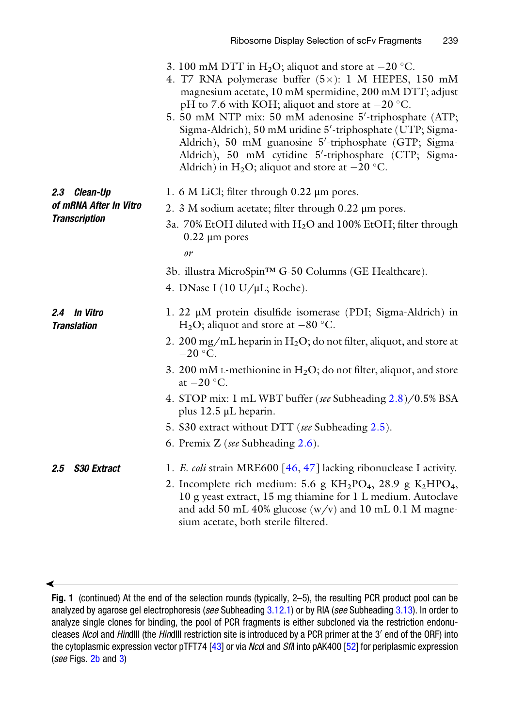<span id="page-4-0"></span>

|  |  |  | 3. 100 mM DTT in H <sub>2</sub> O; aliquot and store at $-20$ °C. |  |                                                                                                                 |  |
|--|--|--|-------------------------------------------------------------------|--|-----------------------------------------------------------------------------------------------------------------|--|
|  |  |  |                                                                   |  | the contract of the contract of the contract of the contract of the contract of the contract of the contract of |  |

- 4. T7 RNA polymerase buffer  $(5\times)$ : 1 M HEPES, 150 mM magnesium acetate, 10 mM spermidine, 200 mM DTT; adjust pH to 7.6 with KOH; aliquot and store at  $-20$  °C.
- 5. 50 mM NTP mix: 50 mM adenosine 5'-triphosphate (ATP; Sigma-Aldrich), 50 mM uridine 5'-triphosphate (UTP; Sigma-Aldrich), 50 mM guanosine 5'-triphosphate (GTP; Sigma-Aldrich), 50 mM cytidine 5'-triphosphate (CTP; Sigma-Aldrich) in H<sub>2</sub>O; aliquot and store at  $-20$  °C.

#### 2.3 Clean-Up of mRNA After In Vitro **Transcription**

- 1. 6 M LiCl; filter through 0.22 μm pores.
- 2. 3 M sodium acetate; filter through 0.22 μm pores.
	- 3a. 70% EtOH diluted with  $H_2O$  and 100% EtOH; filter through 0.22 μm pores
		- or
	- 3b. illustra MicroSpin™ G-50 Columns (GE Healthcare).
	- 4. DNase I (10 U/μL; Roche).

#### 2.4 In Vitro **Translation** 1. 22 μM protein disulfide isomerase (PDI; Sigma-Aldrich) in  $H<sub>2</sub>O$ ; aliquot and store at  $-80$  °C.

- 2. 200 mg/mL heparin in  $H_2O$ ; do not filter, aliquot, and store at  $-20$  °C.
- 3. 200 mM L-methionine in  $H_2O$ ; do not filter, aliquot, and store at  $-20$  °C.
- 4. STOP mix: 1 mL WBT buffer (see Subheading [2.8\)](#page-8-0)/0.5% BSA plus 12.5 μL heparin.
- 5. S30 extract without DTT (see Subheading 2.5).
- 6. Premix Z (see Subheading [2.6\)](#page-6-0).

◀

- **2.5 S30 Extract** 1. E. coli strain MRE600  $[46, 47]$  $[46, 47]$  $[46, 47]$  $[46, 47]$  lacking ribonuclease I activity.
	- 2. Incomplete rich medium: 5.6 g  $KH_2PO_4$ , 28.9 g  $K_2HPO_4$ , 10 g yeast extract, 15 mg thiamine for 1 L medium. Autoclave and add 50 mL 40% glucose  $(w/v)$  and 10 mL 0.1 M magnesium acetate, both sterile filtered.

Fig. 1 (continued) At the end of the selection rounds (typically, 2–5), the resulting PCR product pool can be analyzed by agarose gel electrophoresis (see Subheading [3.12.1](#page-22-0)) or by RIA (see Subheading [3.13\)](#page-23-0). In order to analyze single clones for binding, the pool of PCR fragments is either subcloned via the restriction endonucleases Ncol and HindIII (the HindIII restriction site is introduced by a PCR primer at the 3' end of the ORF) into the cytoplasmic expression vector pTFT74 [[43](#page-31-0)] or via *Nco*I and *Sfi*I into pAK400 [[52](#page-32-0)] for periplasmic expression (see Figs. [2b](#page-5-0) and [3\)](#page-6-0)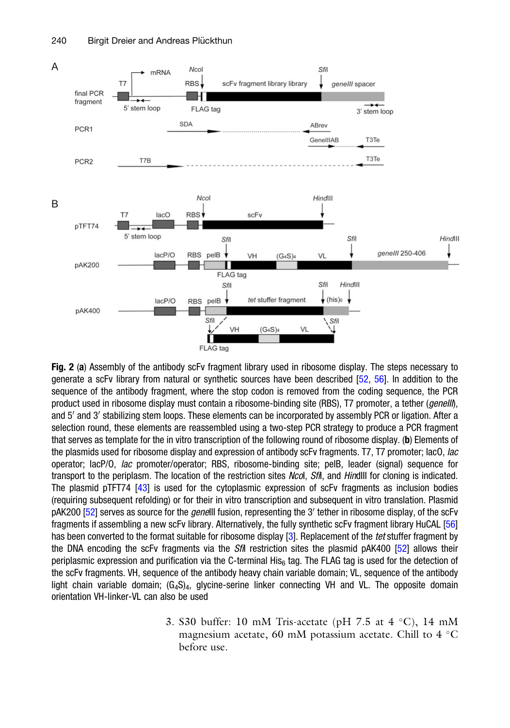<span id="page-5-0"></span>

Fig. 2 (a) Assembly of the antibody scFv fragment library used in ribosome display. The steps necessary to generate a scFv library from natural or synthetic sources have been described [\[52,](#page-32-0) [56](#page-32-0)]. In addition to the sequence of the antibody fragment, where the stop codon is removed from the coding sequence, the PCR product used in ribosome display must contain a ribosome-binding site (RBS), T7 promoter, a tether (*geneIII*), and 5' and 3' stabilizing stem loops. These elements can be incorporated by assembly PCR or ligation. After a selection round, these elements are reassembled using a two-step PCR strategy to produce a PCR fragment that serves as template for the in vitro transcription of the following round of ribosome display. (b) Elements of the plasmids used for ribosome display and expression of antibody scFv fragments. T7, T7 promoter; lacO, lac operator; lacP/O, lac promoter/operator; RBS, ribosome-binding site; pelB, leader (signal) sequence for transport to the periplasm. The location of the restriction sites Ncol, Sfl, and HindIII for cloning is indicated. The plasmid pTFT74 [\[43\]](#page-31-0) is used for the cytoplasmic expression of scFv fragments as inclusion bodies (requiring subsequent refolding) or for their in vitro transcription and subsequent in vitro translation. Plasmid pAK200 [[52](#page-32-0)] serves as source for the *gene*III fusion, representing the 3' tether in ribosome display, of the scFv fragments if assembling a new scFv library. Alternatively, the fully synthetic scFv fragment library HuCAL [\[56\]](#page-32-0) has been converted to the format suitable for ribosome display [[3](#page-29-0)]. Replacement of the *tet* stuffer fragment by the DNA encoding the scFv fragments via the *Sfi*l restriction sites the plasmid pAK400  $[52]$  allows their periplasmic expression and purification via the C-terminal His<sub>6</sub> tag. The FLAG tag is used for the detection of the scFv fragments. VH, sequence of the antibody heavy chain variable domain; VL, sequence of the antibody light chain variable domain;  $(G_4S)_4$ , glycine-serine linker connecting VH and VL. The opposite domain orientation VH-linker-VL can also be used

> 3. S30 buffer: 10 mM Tris-acetate (pH 7.5 at 4  $^{\circ}$ C), 14 mM magnesium acetate, 60 mM potassium acetate. Chill to 4  $\degree$ C before use.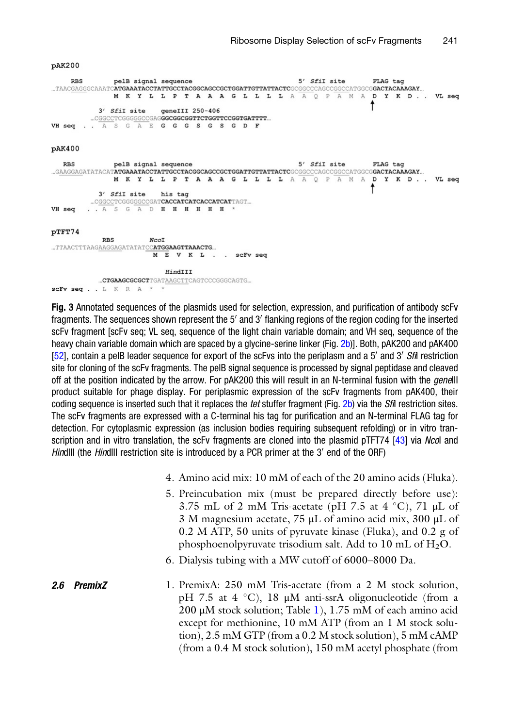#### <span id="page-6-0"></span>pAK200



Fig. 3 Annotated sequences of the plasmids used for selection, expression, and purification of antibody scFv fragments. The sequences shown represent the 5' and 3' flanking regions of the region coding for the inserted scFv fragment [scFv seq; VL seq, sequence of the light chain variable domain; and VH seq, sequence of the heavy chain variable domain which are spaced by a glycine-serine linker (Fig. [2b\)](#page-5-0)]. Both, pAK200 and pAK400 [[52](#page-32-0)], contain a pelB leader sequence for export of the scFvs into the periplasm and a 5' and 3' Sfil restriction site for cloning of the scFv fragments. The pelB signal sequence is processed by signal peptidase and cleaved off at the position indicated by the arrow. For pAK200 this will result in an N-terminal fusion with the *gene*lll product suitable for phage display. For periplasmic expression of the scFv fragments from pAK400, their coding sequence is inserted such that it replaces the *tet* stuffer fragment (Fig. [2b\)](#page-5-0) via the *Sfi*I restriction sites. The scFv fragments are expressed with a C-terminal his tag for purification and an N-terminal FLAG tag for detection. For cytoplasmic expression (as inclusion bodies requiring subsequent refolding) or in vitro tran-scription and in vitro translation, the scFv fragments are cloned into the plasmid pTFT74 [\[43\]](#page-31-0) via Ncol and HindIII (the HindIII restriction site is introduced by a PCR primer at the 3' end of the ORF)

- 4. Amino acid mix: 10 mM of each of the 20 amino acids (Fluka).
- 5. Preincubation mix (must be prepared directly before use): 3.75 mL of 2 mM Tris-acetate (pH 7.5 at  $4 °C$ ), 71 µL of 3 M magnesium acetate, 75 μL of amino acid mix, 300 μL of 0.2 M ATP, 50 units of pyruvate kinase (Fluka), and 0.2 g of phosphoenolpyruvate trisodium salt. Add to 10 mL of  $H_2O$ .
- 6. Dialysis tubing with a MW cutoff of 6000–8000 Da.
- **2.6 PremixZ** 1. PremixA: 250 mM Tris-acetate (from a 2 M stock solution, pH 7.5 at 4 °C), 18 μM anti-ssrA oligonucleotide (from a 200 μM stock solution; Table [1](#page-7-0)), 1.75 mM of each amino acid except for methionine, 10 mM ATP (from an 1 M stock solution), 2.5 mM GTP (from a 0.2 M stock solution), 5 mM cAMP (from a 0.4 M stock solution), 150 mM acetyl phosphate (from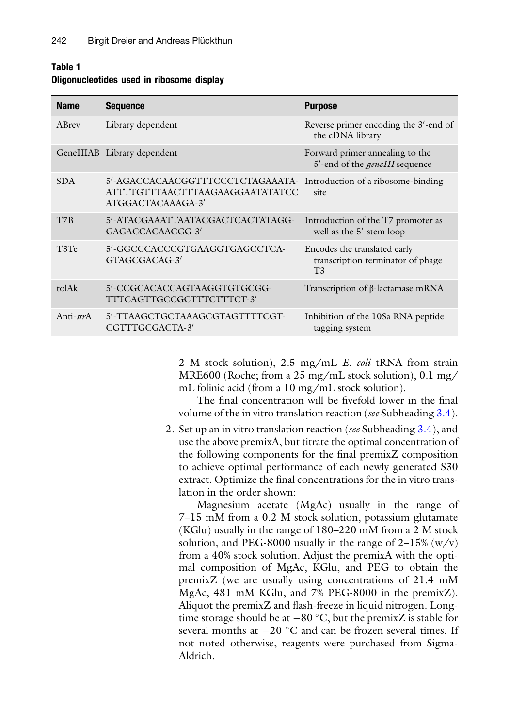#### <span id="page-7-0"></span>Table 1 Oligonucleotides used in ribosome display

| <b>Name</b> | <b>Sequence</b>                                                                          | <b>Purpose</b>                                                                      |
|-------------|------------------------------------------------------------------------------------------|-------------------------------------------------------------------------------------|
| ABrey       | Library dependent                                                                        | Reverse primer encoding the 3'-end of<br>the cDNA library                           |
|             | GeneIIIAB Library dependent                                                              | Forward primer annealing to the<br>5'-end of the <i>geneIII</i> sequence            |
| <b>SDA</b>  | 5'-AGACCACAACGGTTTCCCTCTAGAAATA-<br>ATTTTGTTTAACTTTAAGAAGGAATATATCC<br>ATGGACTACAAAGA-3' | Introduction of a ribosome-binding<br>site                                          |
| T7B         | 5'-ATACGAAATTAATACGACTCACTATAGG-<br>GAGACCACAACGG-3'                                     | Introduction of the T7 promoter as<br>well as the 5'-stem loop                      |
| T3Te        | 5'-GGCCCACCCGTGAAGGTGAGCCTCA-<br>GTAGCGACAG-3'                                           | Encodes the translated early<br>transcription terminator of phage<br>T <sub>3</sub> |
| tolAk       | 5'-CCGCACACCAGTAAGGTGTGCGG-<br>TTTCAGTTGCCGCTTTCTTTCT-3'                                 | Transcription of $\beta$ -lactamase mRNA                                            |
| Anti- $srA$ | 5'-TTAAGCTGCTAAAGCGTAGTTTTCGT-<br>CGTTTGCGACTA-3'                                        | Inhibition of the 10Sa RNA peptide<br>tagging system                                |

2 M stock solution), 2.5 mg/mL E. coli tRNA from strain MRE600 (Roche; from a 25 mg/mL stock solution), 0.1 mg/ mL folinic acid (from a 10 mg/mL stock solution).

The final concentration will be fivefold lower in the final volume of the in vitro translation reaction (see Subheading [3.4\)](#page-14-0).

2. Set up an in vitro translation reaction (see Subheading [3.4](#page-14-0)), and use the above premixA, but titrate the optimal concentration of the following components for the final premixZ composition to achieve optimal performance of each newly generated S30 extract. Optimize the final concentrations for the in vitro translation in the order shown:

Magnesium acetate (MgAc) usually in the range of 7–15 mM from a 0.2 M stock solution, potassium glutamate (KGlu) usually in the range of 180–220 mM from a 2 M stock solution, and PEG-8000 usually in the range of  $2-15\%$  (w/v) from a 40% stock solution. Adjust the premixA with the optimal composition of MgAc, KGlu, and PEG to obtain the premixZ (we are usually using concentrations of 21.4 mM MgAc, 481 mM KGlu, and 7% PEG-8000 in the premixZ). Aliquot the premixZ and flash-freeze in liquid nitrogen. Longtime storage should be at  $-80$  °C, but the premixZ is stable for several months at  $-20$  °C and can be frozen several times. If not noted otherwise, reagents were purchased from Sigma-Aldrich.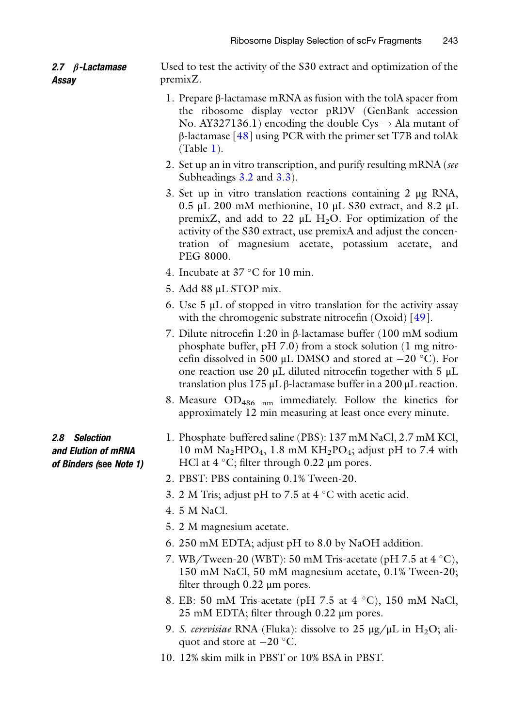<span id="page-8-0"></span>2.7 β-Lactamase Used to test the activity of the S30 extract and optimization of the premixZ.

- 1. Prepare β-lactamase mRNA as fusion with the tolA spacer from the ribosome display vector pRDV (GenBank accession No. AY327136.1) encoding the double Cys  $\rightarrow$  Ala mutant of  $β$ -lactamase  $[48]$  $[48]$  $[48]$  using PCR with the primer set T7B and tolAk (Table [1](#page-7-0)).
- 2. Set up an in vitro transcription, and purify resulting mRNA (see Subheadings [3.2](#page-13-0) and [3.3](#page-13-0)).
- 3. Set up in vitro translation reactions containing 2 μg RNA, 0.5 μL 200 mM methionine, 10 μL S30 extract, and 8.2 μL premixZ, and add to 22  $\mu$ L H<sub>2</sub>O. For optimization of the activity of the S30 extract, use premixA and adjust the concentration of magnesium acetate, potassium acetate, and PEG-8000.
- 4. Incubate at  $37^{\circ}$ C for 10 min.
- 5. Add 88 μL STOP mix.
- 6. Use  $5 \mu L$  of stopped in vitro translation for the activity assay with the chromogenic substrate nitrocefin (Oxoid) [[49\]](#page-32-0).
- 7. Dilute nitrocefin 1:20 in β-lactamase buffer (100 mM sodium phosphate buffer, pH 7.0) from a stock solution (1 mg nitrocefin dissolved in 500 μL DMSO and stored at  $-20$  °C). For one reaction use 20 μL diluted nitrocefin together with 5 μL translation plus 175 μL β-lactamase buffer in a 200 μL reaction.
- 8. Measure  $OD_{486 \text{ nm}}$  immediately. Follow the kinetics for approximately 12 min measuring at least once every minute.
- 1. Phosphate-buffered saline (PBS): 137 mM NaCl, 2.7 mM KCl, 10 mM Na<sub>2</sub>HPO<sub>4</sub>, 1.8 mM KH<sub>2</sub>PO<sub>4</sub>; adjust pH to 7.4 with HCl at  $4^{\circ}$ C; filter through 0.22  $\mu$ m pores.
- 2. PBST: PBS containing 0.1% Tween-20.
- 3. 2 M Tris; adjust pH to 7.5 at  $4^{\circ}$ C with acetic acid.
- 4. 5 M NaCl.
- 5. 2 M magnesium acetate.
- 6. 250 mM EDTA; adjust pH to 8.0 by NaOH addition.
- 7. WB/Tween-20 (WBT): 50 mM Tris-acetate (pH 7.5 at  $4 \text{ }^{\circ}$ C), 150 mM NaCl, 50 mM magnesium acetate, 0.1% Tween-20; filter through 0.22 μm pores.
- 8. EB: 50 mM Tris-acetate (pH 7.5 at  $4 °C$ ), 150 mM NaCl, 25 mM EDTA; filter through 0.22 μm pores.
- 9. S. cerevisiae RNA (Fluka): dissolve to  $25 \mu g/\mu L$  in H<sub>2</sub>O; aliquot and store at  $-20$  °C.
- 10. 12% skim milk in PBST or 10% BSA in PBST.

2.8 Selection and Elution of mRNA of Binders (see Note 1)

Assay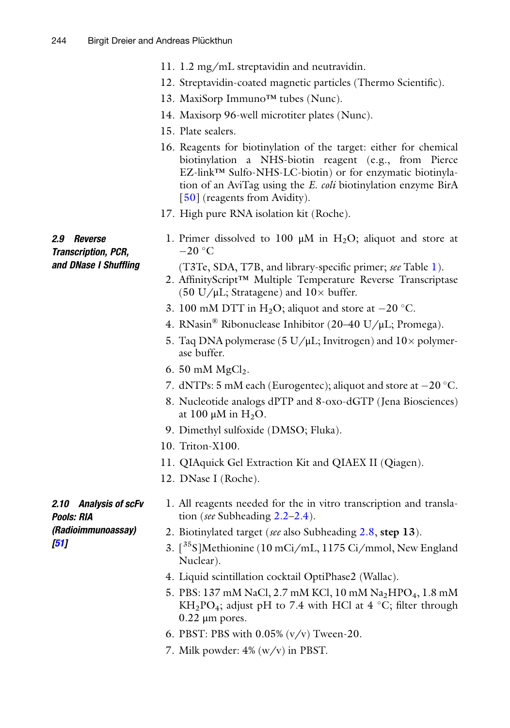- 11. 1.2 mg/mL streptavidin and neutravidin.
- 12. Streptavidin-coated magnetic particles (Thermo Scientific).
- 13. MaxiSorp Immuno™ tubes (Nunc).
- 14. Maxisorp 96-well microtiter plates (Nunc).
- 15. Plate sealers.
- 16. Reagents for biotinylation of the target: either for chemical biotinylation a NHS-biotin reagent (e.g., from Pierce EZ-link™ Sulfo-NHS-LC-biotin) or for enzymatic biotinylation of an AviTag using the *E. coli* biotinylation enzyme BirA [[50\]](#page-32-0) (reagents from Avidity).
- 17. High pure RNA isolation kit (Roche).
- 1. Primer dissolved to 100  $\mu$ M in H<sub>2</sub>O; aliquot and store at  $-20$  °C
	- (T3Te, SDA, T7B, and library-specific primer; see Table [1\)](#page-7-0).
	- 2. AffinityScript™ Multiple Temperature Reverse Transcriptase (50 U/ $\mu$ L; Stratagene) and  $10\times$  buffer.
	- 3. 100 mM DTT in H<sub>2</sub>O; aliquot and store at  $-20$  °C.
	- 4. RNasin® Ribonuclease Inhibitor (20–40 U/μL; Promega).
	- 5. Taq DNA polymerase (5 U/ $\mu$ L; Invitrogen) and  $10 \times$  polymerase buffer.
	- 6. 50 mM  $MgCl<sub>2</sub>$ .
	- 7. dNTPs: 5 mM each (Eurogentec); aliquot and store at  $-20$  °C.
	- 8. Nucleotide analogs dPTP and 8-oxo-dGTP (Jena Biosciences) at  $100 \mu M$  in  $H_2O$ .
	- 9. Dimethyl sulfoxide (DMSO; Fluka).
	- 10. Triton-X100.
	- 11. QIAquick Gel Extraction Kit and QIAEX II (Qiagen).
	- 12. DNase I (Roche).

2.10 Analysis of scFv Pools: RIA (Radioimmunoassay) [\[51\]](#page-32-0)

2.9 Reverse Transcription, PCR, and DNase I Shuffling

- 1. All reagents needed for the in vitro transcription and translation (see Subheading [2.2](#page-2-0)[–2.4\)](#page-4-0).
- 2. Biotinylated target (see also Subheading [2.8,](#page-8-0) step 13).
- 3. [35S]Methionine (10 mCi/mL, 1175 Ci/mmol, New England Nuclear).
- 4. Liquid scintillation cocktail OptiPhase2 (Wallac).
- 5. PBS: 137 mM NaCl, 2.7 mM KCl, 10 mM Na<sub>2</sub>HPO<sub>4</sub>, 1.8 mM  $KH_2PO_4$ ; adjust pH to 7.4 with HCl at 4 °C; filter through  $0.22 \mu m$  pores.
- 6. PBST: PBS with  $0.05\%$  (v/v) Tween-20.
- 7. Milk powder: 4% (w/v) in PBST.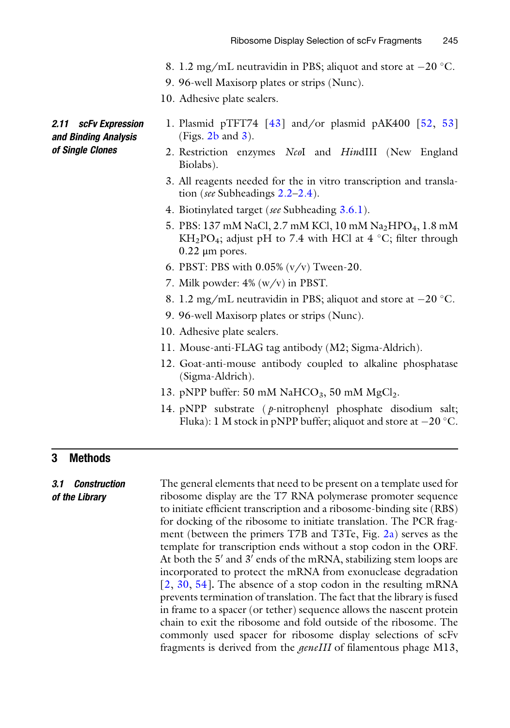- 8. 1.2 mg/mL neutravidin in PBS; aliquot and store at  $-20$  °C.
- 9. 96-well Maxisorp plates or strips (Nunc).
- 10. Adhesive plate sealers.
- 1. Plasmid pTFT74 [[43](#page-31-0)] and/or plasmid pAK400 [[52](#page-32-0), [53](#page-32-0)] (Figs.  $2b$  and  $3$ ).
- 2. Restriction enzymes NcoI and HindIII (New England Biolabs).
- 3. All reagents needed for the in vitro transcription and translation (see Subheadings [2.2–](#page-2-0)[2.4\)](#page-4-0).
- 4. Biotinylated target (see Subheading [3.6.1\)](#page-15-0).
- 5. PBS: 137 mM NaCl, 2.7 mM KCl, 10 mM Na<sub>2</sub>HPO<sub>4</sub>, 1.8 mM  $KH<sub>2</sub>PO<sub>4</sub>$ ; adjust pH to 7.4 with HCl at 4 °C; filter through  $0.22 \mu m$  pores.
- 6. PBST: PBS with  $0.05\%$  (v/v) Tween-20.
- 7. Milk powder: 4% (w/v) in PBST.
- 8. 1.2 mg/mL neutravidin in PBS; aliquot and store at  $-20$  °C.
- 9. 96-well Maxisorp plates or strips (Nunc).
- 10. Adhesive plate sealers.
- 11. Mouse-anti-FLAG tag antibody (M2; Sigma-Aldrich).
- 12. Goat-anti-mouse antibody coupled to alkaline phosphatase (Sigma-Aldrich).
- 13. pNPP buffer: 50 mM  $NaHCO<sub>3</sub>$ , 50 mM  $MgCl<sub>2</sub>$ .
- 14. pNPP substrate ( p-nitrophenyl phosphate disodium salt; Fluka): 1 M stock in pNPP buffer; aliquot and store at  $-20$  °C.

#### 3 Methods

#### 3.1 Construction of the Library

The general elements that need to be present on a template used for ribosome display are the T7 RNA polymerase promoter sequence to initiate efficient transcription and a ribosome-binding site (RBS) for docking of the ribosome to initiate translation. The PCR fragment (between the primers T7B and T3Te, Fig. [2a](#page-5-0)) serves as the template for transcription ends without a stop codon in the ORF. At both the  $5'$  and  $3'$  ends of the mRNA, stabilizing stem loops are incorporated to protect the mRNA from exonuclease degradation [[2,](#page-29-0) [30,](#page-31-0) [54](#page-32-0)]. The absence of a stop codon in the resulting mRNA prevents termination of translation. The fact that the library is fused in frame to a spacer (or tether) sequence allows the nascent protein chain to exit the ribosome and fold outside of the ribosome. The commonly used spacer for ribosome display selections of scFv fragments is derived from the geneIII of filamentous phage M13,

#### 2.11 scFv Expression and Binding Analysis of Single Clones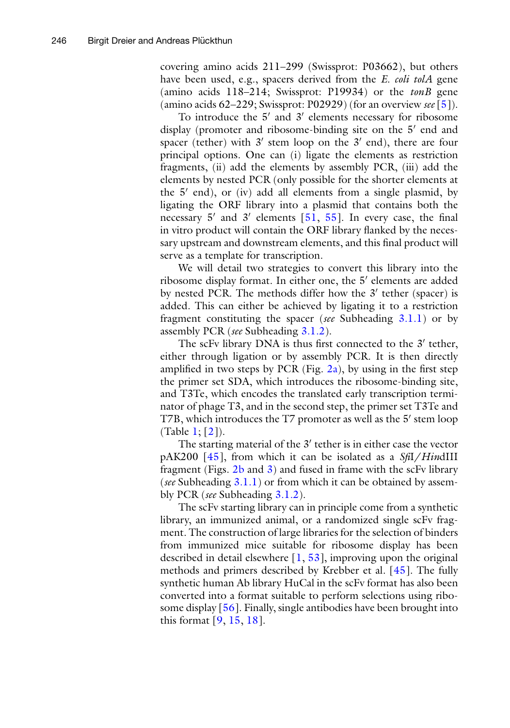covering amino acids 211–299 (Swissprot: P03662), but others have been used, e.g., spacers derived from the E. coli tolA gene (amino acids 118–214; Swissprot: P19934) or the tonB gene (amino acids  $62-229$ ; Swissprot: P02929) (for an overview see [[5\]](#page-29-0)).

To introduce the  $5'$  and  $3'$  elements necessary for ribosome display (promoter and ribosome-binding site on the 5' end and spacer (tether) with  $3'$  stem loop on the  $3'$  end), there are four principal options. One can (i) ligate the elements as restriction fragments, (ii) add the elements by assembly PCR, (iii) add the elements by nested PCR (only possible for the shorter elements at the  $5'$  end), or (iv) add all elements from a single plasmid, by ligating the ORF library into a plasmid that contains both the necessary  $5'$  and  $3'$  elements  $[51, 55]$  $[51, 55]$  $[51, 55]$  $[51, 55]$ . In every case, the final in vitro product will contain the ORF library flanked by the necessary upstream and downstream elements, and this final product will serve as a template for transcription.

We will detail two strategies to convert this library into the ribosome display format. In either one, the 5' elements are added by nested PCR. The methods differ how the  $3'$  tether (spacer) is added. This can either be achieved by ligating it to a restriction fragment constituting the spacer (see Subheading [3.1.1](#page-12-0)) or by assembly PCR (see Subheading [3.1.2\)](#page-12-0).

The scFv library DNA is thus first connected to the  $3'$  tether, either through ligation or by assembly PCR. It is then directly amplified in two steps by PCR (Fig.  $2a$ ), by using in the first step the primer set SDA, which introduces the ribosome-binding site, and T3Te, which encodes the translated early transcription terminator of phage T3, and in the second step, the primer set T3Te and T7B, which introduces the T7 promoter as well as the 5' stem loop (Table [1](#page-7-0); [\[2\]](#page-29-0)).

The starting material of the  $3'$  tether is in either case the vector pAK200  $[45]$  $[45]$ , from which it can be isolated as a  $SfI/HindIII$ fragment (Figs.  $2b$  and  $3$ ) and fused in frame with the scFv library (see Subheading  $3.1.1$ ) or from which it can be obtained by assembly PCR (see Subheading [3.1.2\)](#page-12-0).

The scFv starting library can in principle come from a synthetic library, an immunized animal, or a randomized single scFv fragment. The construction of large libraries for the selection of binders from immunized mice suitable for ribosome display has been described in detail elsewhere  $[1, 53]$  $[1, 53]$  $[1, 53]$ , improving upon the original methods and primers described by Krebber et al. [[45\]](#page-32-0). The fully synthetic human Ab library HuCal in the scFv format has also been converted into a format suitable to perform selections using ribosome display [[56](#page-32-0)]. Finally, single antibodies have been brought into this format [[9,](#page-30-0) [15](#page-30-0), [18\]](#page-30-0).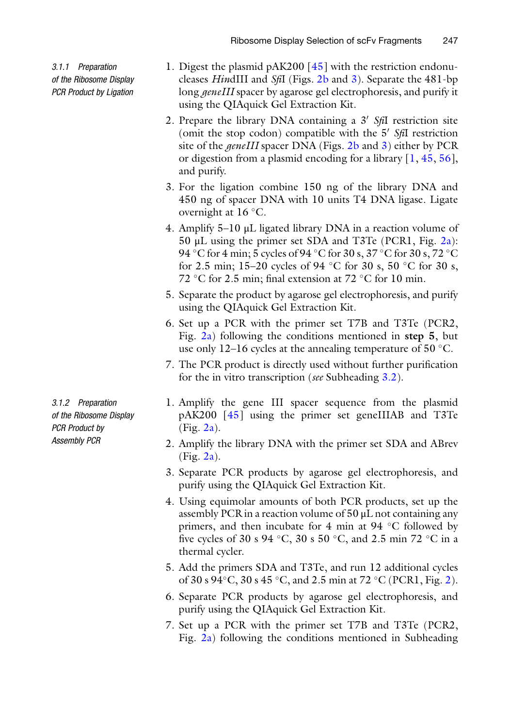<span id="page-12-0"></span>3.1.1 Preparation of the Ribosome Display PCR Product by Ligation

- 1. Digest the plasmid pAK200 [[45](#page-32-0)] with the restriction endonucleases HindIII and SfiI (Figs. [2b](#page-5-0) and [3\)](#page-6-0). Separate the 481-bp long *geneIII* spacer by agarose gel electrophoresis, and purify it using the QIAquick Gel Extraction Kit.
- 2. Prepare the library DNA containing a  $3'$  SfiI restriction site (omit the stop codon) compatible with the  $5'$  SfiI restriction site of the *geneIII* spacer DNA (Figs.  $2b$  and  $3$ ) either by PCR or digestion from a plasmid encoding for a library  $[1, 45, 56]$  $[1, 45, 56]$  $[1, 45, 56]$  $[1, 45, 56]$  $[1, 45, 56]$  $[1, 45, 56]$ , and purify.
- 3. For the ligation combine 150 ng of the library DNA and 450 ng of spacer DNA with 10 units T4 DNA ligase. Ligate overnight at  $16^{\circ}$ C.
- 4. Amplify 5–10 μL ligated library DNA in a reaction volume of 50 μL using the primer set SDA and T3Te (PCR1, Fig.  $2a$ ): 94 °C for 4 min; 5 cycles of 94 °C for 30 s, 37 °C for 30 s, 72 °C for 2.5 min; 15–20 cycles of 94 °C for 30 s, 50 °C for 30 s, 72 °C for 2.5 min; final extension at 72 °C for 10 min.
- 5. Separate the product by agarose gel electrophoresis, and purify using the QIAquick Gel Extraction Kit.
- 6. Set up a PCR with the primer set T7B and T3Te (PCR2, Fig. [2a\)](#page-5-0) following the conditions mentioned in step 5, but use only 12–16 cycles at the annealing temperature of 50  $\degree$ C.
- 7. The PCR product is directly used without further purification for the in vitro transcription (see Subheading [3.2\)](#page-13-0).
- 1. Amplify the gene III spacer sequence from the plasmid pAK200 [\[45\]](#page-32-0) using the primer set geneIIIAB and T3Te (Fig. [2a\)](#page-5-0).
- 2. Amplify the library DNA with the primer set SDA and ABrev (Fig. [2a\)](#page-5-0).
- 3. Separate PCR products by agarose gel electrophoresis, and purify using the QIAquick Gel Extraction Kit.
- 4. Using equimolar amounts of both PCR products, set up the assembly PCR in a reaction volume of 50 μL not containing any primers, and then incubate for 4 min at 94  $\degree$ C followed by five cycles of 30 s 94 °C, 30 s 50 °C, and 2.5 min 72 °C in a thermal cycler.
- 5. Add the primers SDA and T3Te, and run 12 additional cycles of 30 s 94 $\degree$ C, 30 s 45  $\degree$ C, and 2.5 min at 72  $\degree$ C (PCR1, Fig. [2\)](#page-5-0).
- 6. Separate PCR products by agarose gel electrophoresis, and purify using the QIAquick Gel Extraction Kit.
- 7. Set up a PCR with the primer set T7B and T3Te (PCR2, Fig. [2a\)](#page-5-0) following the conditions mentioned in Subheading

3.1.2 Preparation of the Ribosome Display PCR Product by Assembly PCR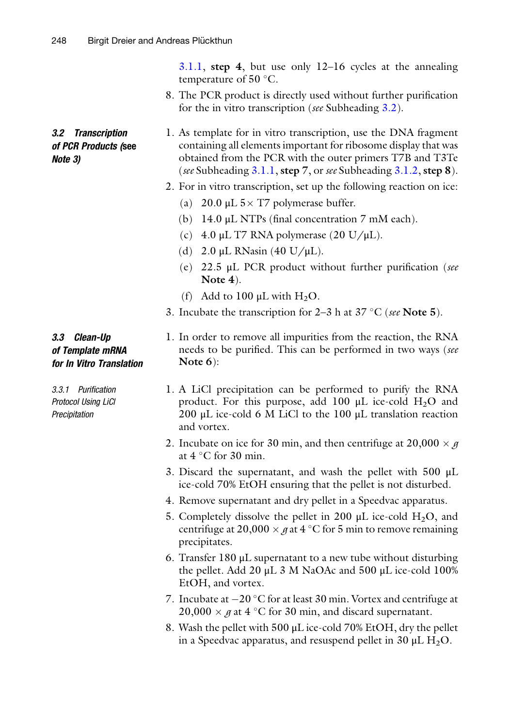<span id="page-13-0"></span>[3.1.1,](#page-12-0) step 4, but use only 12–16 cycles at the annealing temperature of 50 $\degree$ C. 8. The PCR product is directly used without further purification for the in vitro transcription (see Subheading 3.2). 3.2 Transcription of PCR Products (see Note 3) 1. As template for in vitro transcription, use the DNA fragment containing all elements important for ribosome display that was obtained from the PCR with the outer primers T7B and T3Te (see Subheading  $3.1.1$ , step 7, or see Subheading  $3.1.2$ , step 8). 2. For in vitro transcription, set up the following reaction on ice: (a) 20.0  $\mu$ L 5 × T7 polymerase buffer. (b) 14.0 μL NTPs (final concentration 7 mM each). (c) 4.0 μL T7 RNA polymerase (20 U/μL). (d) 2.0 μL RNasin (40 U/μL). (e) 22.5 μL PCR product without further purification (see Note 4). (f) Add to 100  $\mu$ L with H<sub>2</sub>O. 3. Incubate the transcription for 2–3 h at 37  $\mathrm{^{\circ}C}$  (see Note 5). 3.3 Clean-Up of Template mRNA for In Vitro Translation 1. In order to remove all impurities from the reaction, the RNA needs to be purified. This can be performed in two ways (see Note 6): 3.3.1 Purification Protocol Using LiCl Precipitation 1. A LiCl precipitation can be performed to purify the RNA product. For this purpose, add 100  $\mu$ L ice-cold H<sub>2</sub>O and 200 μL ice-cold 6 M LiCl to the 100 μL translation reaction and vortex. 2. Incubate on ice for 30 min, and then centrifuge at  $20,000 \times g$ at  $4^{\circ}$ C for 30 min. 3. Discard the supernatant, and wash the pellet with 500 μL ice-cold 70% EtOH ensuring that the pellet is not disturbed. 4. Remove supernatant and dry pellet in a Speedvac apparatus. 5. Completely dissolve the pellet in 200  $\mu$ L ice-cold H<sub>2</sub>O, and centrifuge at  $20,000 \times g$  at 4 °C for 5 min to remove remaining precipitates. 6. Transfer 180 μL supernatant to a new tube without disturbing the pellet. Add 20 μL 3 M NaOAc and 500 μL ice-cold 100%

EtOH, and vortex.

- 7. Incubate at  $-20$  °C for at least 30 min. Vortex and centrifuge at  $20,000 \times g$  at 4 °C for 30 min, and discard supernatant.
- 8. Wash the pellet with 500 μL ice-cold 70% EtOH, dry the pellet in a Speedvac apparatus, and resuspend pellet in 30  $\mu$ L H<sub>2</sub>O.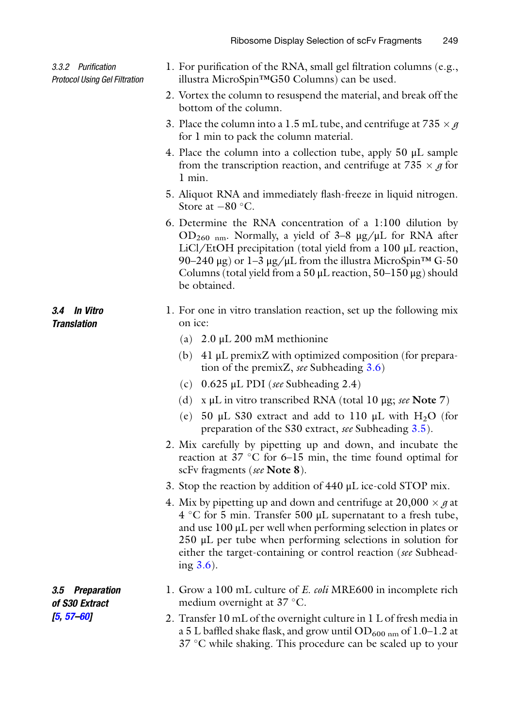<span id="page-14-0"></span>

| 3.3.2 Purification<br><b>Protocol Using Gel Filtration</b> | 1. For purification of the RNA, small gel filtration columns (e.g.,<br>illustra MicroSpin™G50 Columns) can be used.                                                                                                                                                                                                                                                   |  |  |  |  |
|------------------------------------------------------------|-----------------------------------------------------------------------------------------------------------------------------------------------------------------------------------------------------------------------------------------------------------------------------------------------------------------------------------------------------------------------|--|--|--|--|
|                                                            | 2. Vortex the column to resuspend the material, and break off the<br>bottom of the column.                                                                                                                                                                                                                                                                            |  |  |  |  |
|                                                            | 3. Place the column into a 1.5 mL tube, and centrifuge at 735 $\times g$<br>for 1 min to pack the column material.                                                                                                                                                                                                                                                    |  |  |  |  |
|                                                            | 4. Place the column into a collection tube, apply $50 \mu L$ sample<br>from the transcription reaction, and centrifuge at 735 $\times$ g for<br>1 min.                                                                                                                                                                                                                |  |  |  |  |
|                                                            | 5. Aliquot RNA and immediately flash-freeze in liquid nitrogen.<br>Store at $-80$ °C.                                                                                                                                                                                                                                                                                 |  |  |  |  |
|                                                            | 6. Determine the RNA concentration of a 1:100 dilution by<br>$OD_{260 \ nm}$ . Normally, a yield of 3-8 µg/µL for RNA after<br>LiCl/EtOH precipitation (total yield from a $100 \mu$ L reaction,<br>90–240 µg) or 1–3 µg/µL from the illustra MicroSpin <sup>TM</sup> G-50<br>Columns (total yield from a 50 $\mu$ L reaction, 50–150 $\mu$ g) should<br>be obtained. |  |  |  |  |
| 3.4 In Vitro<br><b>Translation</b>                         | 1. For one in vitro translation reaction, set up the following mix<br>on ice:                                                                                                                                                                                                                                                                                         |  |  |  |  |
|                                                            | (a) $2.0 \mu L$ 200 mM methionine                                                                                                                                                                                                                                                                                                                                     |  |  |  |  |
|                                                            | (b) $41 \mu L$ premixZ with optimized composition (for prepara-<br>tion of the premixZ, see Subheading $3.6$ )                                                                                                                                                                                                                                                        |  |  |  |  |
|                                                            | (c) $0.625 \mu L$ PDI (see Subheading 2.4)                                                                                                                                                                                                                                                                                                                            |  |  |  |  |
|                                                            | (d) $x \mu L$ in vitro transcribed RNA (total 10 $\mu$ g; see Note 7)                                                                                                                                                                                                                                                                                                 |  |  |  |  |
|                                                            | (e) 50 $\mu$ L S30 extract and add to 110 $\mu$ L with H <sub>2</sub> O (for<br>preparation of the S30 extract, see Subheading 3.5).                                                                                                                                                                                                                                  |  |  |  |  |
|                                                            | 2. Mix carefully by pipetting up and down, and incubate the<br>reaction at 37 $\degree$ C for 6–15 min, the time found optimal for<br>scFv fragments (see Note 8).                                                                                                                                                                                                    |  |  |  |  |
|                                                            | 3. Stop the reaction by addition of 440 µL ice-cold STOP mix.                                                                                                                                                                                                                                                                                                         |  |  |  |  |
|                                                            | 4. Mix by pipetting up and down and centrifuge at $20,000 \times g$ at<br>4 °C for 5 min. Transfer 500 µL supernatant to a fresh tube,<br>and use $100 \mu L$ per well when performing selection in plates or<br>$250 \mu L$ per tube when performing selections in solution for<br>either the target-containing or control reaction (see Subhead-<br>ing $3.6$ ).    |  |  |  |  |
| <b>Preparation</b><br>3.5<br>of S30 Extract                | 1. Grow a 100 mL culture of <i>E. coli</i> MRE600 in incomplete rich<br>medium overnight at 37 °C.                                                                                                                                                                                                                                                                    |  |  |  |  |
| $[5, 57 - 60]$                                             | 2. Transfer 10 mL of the overnight culture in 1 L of fresh media in<br>a 5 L baffled shake flask, and grow until OD <sub>600 nm</sub> of 1.0-1.2 at<br>37 °C while shaking. This procedure can be scaled up to your                                                                                                                                                   |  |  |  |  |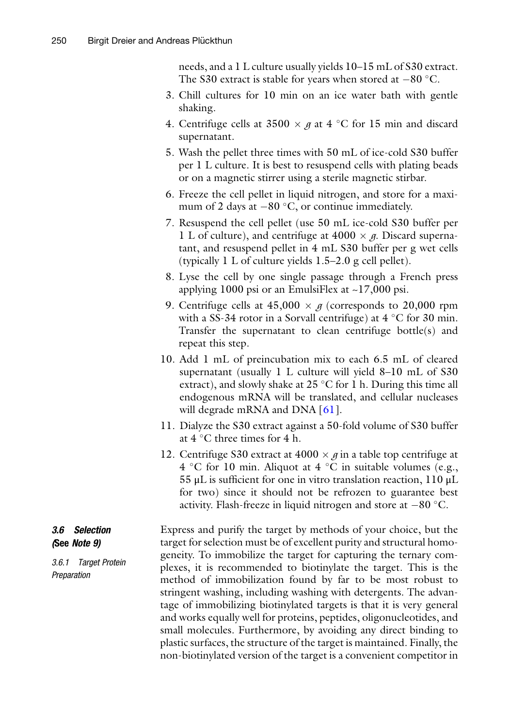<span id="page-15-0"></span>needs, and a 1 L culture usually yields 10–15 mL of S30 extract. The S30 extract is stable for years when stored at  $-80$  °C.

- 3. Chill cultures for 10 min on an ice water bath with gentle shaking.
- 4. Centrifuge cells at 3500  $\times g$  at 4 °C for 15 min and discard supernatant.
- 5. Wash the pellet three times with 50 mL of ice-cold S30 buffer per 1 L culture. It is best to resuspend cells with plating beads or on a magnetic stirrer using a sterile magnetic stirbar.
- 6. Freeze the cell pellet in liquid nitrogen, and store for a maximum of 2 days at  $-80$  °C, or continue immediately.
- 7. Resuspend the cell pellet (use 50 mL ice-cold S30 buffer per 1 L of culture), and centrifuge at  $4000 \times g$ . Discard supernatant, and resuspend pellet in 4 mL S30 buffer per g wet cells (typically 1 L of culture yields 1.5–2.0 g cell pellet).
- 8. Lyse the cell by one single passage through a French press applying 1000 psi or an EmulsiFlex at ~17,000 psi.
- 9. Centrifuge cells at  $45,000 \times g$  (corresponds to 20,000 rpm with a SS-34 rotor in a Sorvall centrifuge) at  $4^{\circ}$ C for 30 min. Transfer the supernatant to clean centrifuge bottle(s) and repeat this step.
- 10. Add 1 mL of preincubation mix to each 6.5 mL of cleared supernatant (usually 1 L culture will yield 8–10 mL of S30 extract), and slowly shake at  $25^{\circ}$ C for 1 h. During this time all endogenous mRNA will be translated, and cellular nucleases will degrade mRNA and DNA  $[61]$  $[61]$ .
- 11. Dialyze the S30 extract against a 50-fold volume of S30 buffer at  $4^{\circ}$ C three times for 4 h.
- 12. Centrifuge S30 extract at  $4000 \times g$  in a table top centrifuge at 4 °C for 10 min. Aliquot at 4 °C in suitable volumes (e.g., 55 μL is sufficient for one in vitro translation reaction, 110 μL for two) since it should not be refrozen to guarantee best activity. Flash-freeze in liquid nitrogen and store at  $-80$  °C.

Express and purify the target by methods of your choice, but the target for selection must be of excellent purity and structural homogeneity. To immobilize the target for capturing the ternary complexes, it is recommended to biotinylate the target. This is the method of immobilization found by far to be most robust to stringent washing, including washing with detergents. The advantage of immobilizing biotinylated targets is that it is very general and works equally well for proteins, peptides, oligonucleotides, and small molecules. Furthermore, by avoiding any direct binding to plastic surfaces, the structure of the target is maintained. Finally, the non-biotinylated version of the target is a convenient competitor in

#### 3.6 Selection (See Note 9)

3.6.1 Target Protein Preparation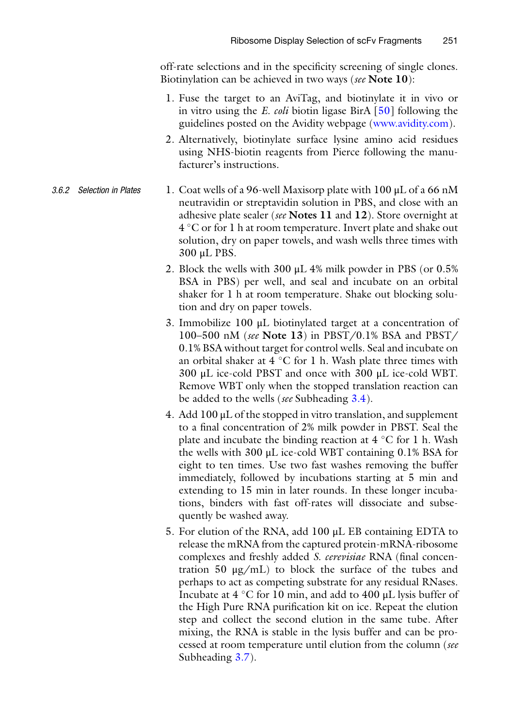<span id="page-16-0"></span>off-rate selections and in the specificity screening of single clones. Biotinylation can be achieved in two ways (see Note 10):

- 1. Fuse the target to an AviTag, and biotinylate it in vivo or in vitro using the *E. coli* biotin ligase BirA [[50](#page-32-0)] following the guidelines posted on the Avidity webpage ([www.avidity.com](http://www.avidity.com)).
- 2. Alternatively, biotinylate surface lysine amino acid residues using NHS-biotin reagents from Pierce following the manufacturer's instructions.
- 3.6.2 Selection in Plates 1. Coat wells of a 96-well Maxisorp plate with 100  $\mu$ L of a 66 nM neutravidin or streptavidin solution in PBS, and close with an adhesive plate sealer (see Notes 11 and 12). Store overnight at  $4^{\circ}$ C or for 1 h at room temperature. Invert plate and shake out solution, dry on paper towels, and wash wells three times with 300 μL PBS.
	- 2. Block the wells with 300 μL 4% milk powder in PBS (or 0.5% BSA in PBS) per well, and seal and incubate on an orbital shaker for 1 h at room temperature. Shake out blocking solution and dry on paper towels.
	- 3. Immobilize 100 μL biotinylated target at a concentration of 100–500 nM (see Note 13) in PBST/0.1% BSA and PBST/ 0.1% BSA without target for control wells. Seal and incubate on an orbital shaker at  $4^{\circ}$ C for 1 h. Wash plate three times with 300 μL ice-cold PBST and once with 300 μL ice-cold WBT. Remove WBT only when the stopped translation reaction can be added to the wells (see Subheading [3.4\)](#page-14-0).
	- 4. Add 100 μL of the stopped in vitro translation, and supplement to a final concentration of 2% milk powder in PBST. Seal the plate and incubate the binding reaction at  $4^{\circ}$ C for 1 h. Wash the wells with 300 μL ice-cold WBT containing 0.1% BSA for eight to ten times. Use two fast washes removing the buffer immediately, followed by incubations starting at 5 min and extending to 15 min in later rounds. In these longer incubations, binders with fast off-rates will dissociate and subsequently be washed away.
	- 5. For elution of the RNA, add 100 μL EB containing EDTA to release the mRNA from the captured protein-mRNA-ribosome complexes and freshly added S. cerevisiae RNA (final concentration 50 μg/mL) to block the surface of the tubes and perhaps to act as competing substrate for any residual RNases. Incubate at  $4^{\circ}$ C for 10 min, and add to 400 µL lysis buffer of the High Pure RNA purification kit on ice. Repeat the elution step and collect the second elution in the same tube. After mixing, the RNA is stable in the lysis buffer and can be processed at room temperature until elution from the column (see Subheading [3.7](#page-17-0)).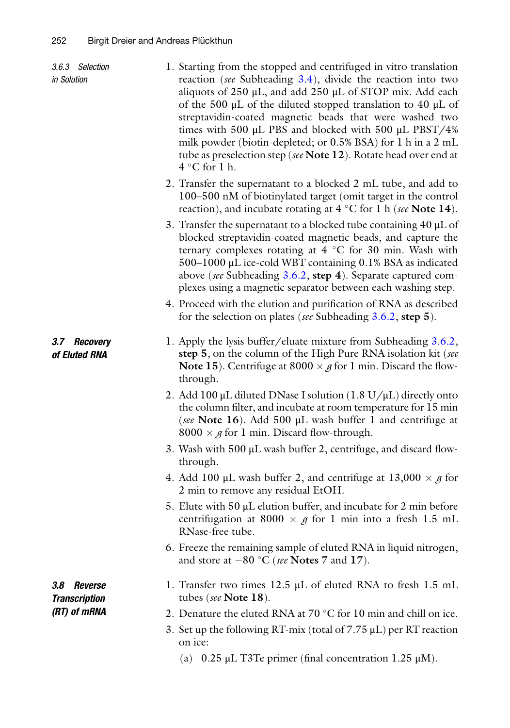<span id="page-17-0"></span>

| 3.6.3 Selection<br>in Solution         | 1. Starting from the stopped and centrifuged in vitro translation<br>reaction (see Subheading $3.4$ ), divide the reaction into two<br>aliquots of $250 \mu L$ , and add $250 \mu L$ of STOP mix. Add each<br>of the 500 $\mu$ L of the diluted stopped translation to 40 $\mu$ L of<br>streptavidin-coated magnetic beads that were washed two<br>times with 500 $\mu$ L PBS and blocked with 500 $\mu$ L PBST/4%<br>milk powder (biotin-depleted; or 0.5% BSA) for 1 h in a 2 mL<br>tube as preselection step (see Note 12). Rotate head over end at<br>$4^{\circ}$ C for 1 h. |
|----------------------------------------|----------------------------------------------------------------------------------------------------------------------------------------------------------------------------------------------------------------------------------------------------------------------------------------------------------------------------------------------------------------------------------------------------------------------------------------------------------------------------------------------------------------------------------------------------------------------------------|
|                                        | 2. Transfer the supernatant to a blocked 2 mL tube, and add to<br>100–500 nM of biotinylated target (omit target in the control<br>reaction), and incubate rotating at $4^{\circ}$ C for 1 h (see Note 14).                                                                                                                                                                                                                                                                                                                                                                      |
|                                        | 3. Transfer the supernatant to a blocked tube containing $40 \mu L$ of<br>blocked streptavidin-coated magnetic beads, and capture the<br>ternary complexes rotating at $4^{\circ}$ C for 30 min. Wash with<br>500–1000 μL ice-cold WBT containing 0.1% BSA as indicated<br>above (see Subheading 3.6.2, step 4). Separate captured com-<br>plexes using a magnetic separator between each washing step.                                                                                                                                                                          |
|                                        | 4. Proceed with the elution and purification of RNA as described<br>for the selection on plates (see Subheading $3.6.2$ , step 5).                                                                                                                                                                                                                                                                                                                                                                                                                                               |
| 3.7 Recovery<br>of Eluted RNA          | 1. Apply the lysis buffer/eluate mixture from Subheading 3.6.2,<br>step 5, on the column of the High Pure RNA isolation kit (see<br><b>Note 15</b> ). Centrifuge at 8000 $\times$ <i>g</i> for 1 min. Discard the flow-<br>through.                                                                                                                                                                                                                                                                                                                                              |
|                                        | 2. Add 100 $\mu$ L diluted DNase I solution (1.8 U/ $\mu$ L) directly onto<br>the column filter, and incubate at room temperature for 15 min<br>(see Note 16). Add 500 µL wash buffer 1 and centrifuge at<br>8000 $\times$ g for 1 min. Discard flow-through.                                                                                                                                                                                                                                                                                                                    |
|                                        | 3. Wash with 500 µL wash buffer 2, centrifuge, and discard flow-<br>through.                                                                                                                                                                                                                                                                                                                                                                                                                                                                                                     |
|                                        | 4. Add 100 µL wash buffer 2, and centrifuge at $13,000 \times g$ for<br>2 min to remove any residual EtOH.                                                                                                                                                                                                                                                                                                                                                                                                                                                                       |
|                                        | 5. Elute with 50 µL elution buffer, and incubate for 2 min before<br>centrifugation at 8000 $\times$ g for 1 min into a fresh 1.5 mL<br>RNase-free tube.                                                                                                                                                                                                                                                                                                                                                                                                                         |
|                                        | 6. Freeze the remaining sample of eluted RNA in liquid nitrogen,<br>and store at $-80$ °C (see Notes 7 and 17).                                                                                                                                                                                                                                                                                                                                                                                                                                                                  |
| Reverse<br>3.8<br><b>Transcription</b> | 1. Transfer two times 12.5 µL of eluted RNA to fresh 1.5 mL<br>tubes (see Note 18).                                                                                                                                                                                                                                                                                                                                                                                                                                                                                              |
| (RT) of mRNA                           | 2. Denature the eluted RNA at $70^{\circ}$ C for 10 min and chill on ice.                                                                                                                                                                                                                                                                                                                                                                                                                                                                                                        |
|                                        | 3. Set up the following RT-mix (total of $7.75 \mu L$ ) per RT reaction<br>on ice:                                                                                                                                                                                                                                                                                                                                                                                                                                                                                               |
|                                        | (a) $0.25 \mu L$ T3Te primer (final concentration 1.25 $\mu$ M).                                                                                                                                                                                                                                                                                                                                                                                                                                                                                                                 |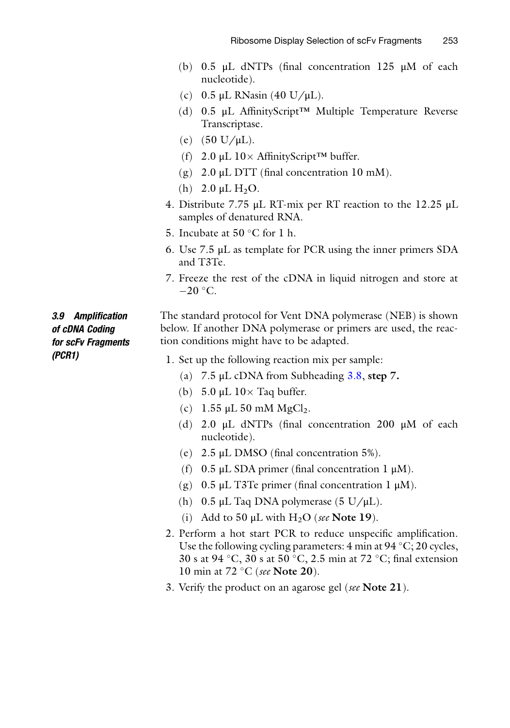- <span id="page-18-0"></span>(b) 0.5 μL dNTPs (final concentration 125 μM of each nucleotide).
- (c)  $0.5 \mu L$  RNasin (40 U/ $\mu$ L).
- (d) 0.5 μL AffinityScript™ Multiple Temperature Reverse Transcriptase.
- (e)  $(50 \text{ U}/\mu\text{L})$ .
- (f) 2.0  $\mu$ L 10 × AffinityScript<sup>TM</sup> buffer.
- (g)  $2.0 \mu L$  DTT (final concentration 10 mM).
- (h)  $2.0 \mu L H_2O$ .
- 4. Distribute 7.75 μL RT-mix per RT reaction to the 12.25 μL samples of denatured RNA.
- 5. Incubate at  $50^{\circ}$ C for 1 h.
- 6. Use 7.5 μL as template for PCR using the inner primers SDA and T3Te.
- 7. Freeze the rest of the cDNA in liquid nitrogen and store at  $-20$  °C.

The standard protocol for Vent DNA polymerase (NEB) is shown below. If another DNA polymerase or primers are used, the reaction conditions might have to be adapted.

- 1. Set up the following reaction mix per sample:
	- (a)  $7.5 \mu L$  cDNA from Subheading  $3.8$ , step 7.
	- (b)  $5.0 \mu L$  10 $\times$  Taq buffer.
	- (c) 1.55  $\mu$ L 50 mM MgCl<sub>2</sub>.
	- (d)  $2.0 \mu L$  dNTPs (final concentration  $200 \mu M$  of each nucleotide).
	- (e)  $2.5 \mu L$  DMSO (final concentration 5%).
	- (f)  $0.5 \mu L$  SDA primer (final concentration 1  $\mu$ M).
	- (g)  $0.5 \mu L$  T3Te primer (final concentration 1  $\mu$ M).
	- (h) 0.5 μL Taq DNA polymerase (5 U/μL).
	- (i) Add to 50  $\mu$ L with H<sub>2</sub>O (see Note 19).
- 2. Perform a hot start PCR to reduce unspecific amplification. Use the following cycling parameters:  $4 \text{ min}$  at  $94 \degree \text{C}$ ;  $20 \text{ cycles}$ , 30 s at 94 °C, 30 s at 50 °C, 2.5 min at 72 °C; final extension 10 min at  $72 °C$  (see Note 20).
- 3. Verify the product on an agarose gel (see Note 21).

3.9 Amplification of cDNA Coding for scFv Fragments (PCR1)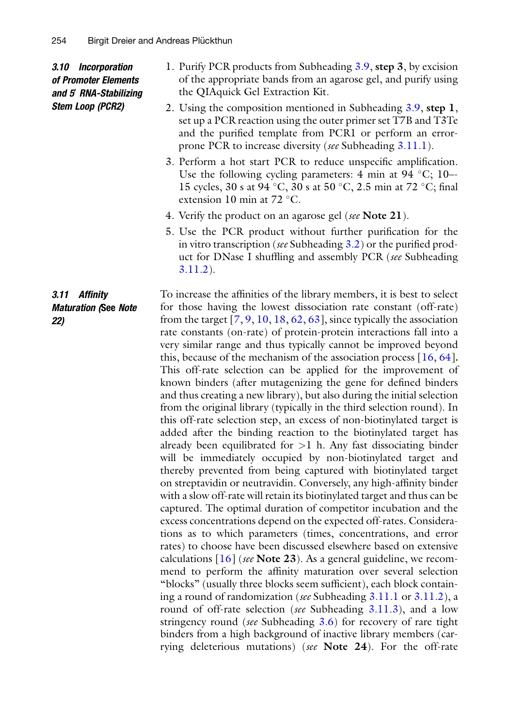#### <span id="page-19-0"></span>3.10 Incorporation of Promoter Elements and  $5'$  RNA-Stabilizing Stem Loop (PCR2)

3.11 Affinity

22)

- 1. Purify PCR products from Subheading [3.9](#page-18-0), step 3, by excision of the appropriate bands from an agarose gel, and purify using the QIAquick Gel Extraction Kit.
- 2. Using the composition mentioned in Subheading [3.9](#page-18-0), step 1, set up a PCR reaction using the outer primer set T7B and T3Te and the purified template from PCR1 or perform an errorprone PCR to increase diversity (see Subheading [3.11.1\)](#page-20-0).
- 3. Perform a hot start PCR to reduce unspecific amplification. Use the following cycling parameters: 4 min at  $94 °C$ ; 10– 15 cycles, 30 s at 94 °C, 30 s at 50 °C, 2.5 min at 72 °C; final extension 10 min at 72 $\degree$ C.
- 4. Verify the product on an agarose gel (see Note 21).
- 5. Use the PCR product without further purification for the in vitro transcription (see Subheading [3.2\)](#page-13-0) or the purified product for DNase I shuffling and assembly PCR (see Subheading [3.11.2\)](#page-20-0).

Maturation (See Note To increase the affinities of the library members, it is best to select for those having the lowest dissociation rate constant (off-rate) from the target  $[7, 9, 10, 18, 62, 63]$  $[7, 9, 10, 18, 62, 63]$  $[7, 9, 10, 18, 62, 63]$  $[7, 9, 10, 18, 62, 63]$  $[7, 9, 10, 18, 62, 63]$  $[7, 9, 10, 18, 62, 63]$  $[7, 9, 10, 18, 62, 63]$  $[7, 9, 10, 18, 62, 63]$  $[7, 9, 10, 18, 62, 63]$  $[7, 9, 10, 18, 62, 63]$  $[7, 9, 10, 18, 62, 63]$  $[7, 9, 10, 18, 62, 63]$ , since typically the association rate constants (on-rate) of protein-protein interactions fall into a very similar range and thus typically cannot be improved beyond this, because of the mechanism of the association process [\[16](#page-30-0), [64\]](#page-33-0). This off-rate selection can be applied for the improvement of known binders (after mutagenizing the gene for defined binders and thus creating a new library), but also during the initial selection from the original library (typically in the third selection round). In this off-rate selection step, an excess of non-biotinylated target is added after the binding reaction to the biotinylated target has already been equilibrated for  $>1$  h. Any fast dissociating binder will be immediately occupied by non-biotinylated target and thereby prevented from being captured with biotinylated target on streptavidin or neutravidin. Conversely, any high-affinity binder with a slow off-rate will retain its biotinylated target and thus can be captured. The optimal duration of competitor incubation and the excess concentrations depend on the expected off-rates. Considerations as to which parameters (times, concentrations, and error rates) to choose have been discussed elsewhere based on extensive calculations  $[16]$  $[16]$  (see Note 23). As a general guideline, we recommend to perform the affinity maturation over several selection "blocks" (usually three blocks seem sufficient), each block containing a round of randomization (see Subheading [3.11.1](#page-20-0) or [3.11.2](#page-20-0)), a round of off-rate selection (see Subheading [3.11.3](#page-21-0)), and a low stringency round (see Subheading [3.6](#page-15-0)) for recovery of rare tight binders from a high background of inactive library members (carrying deleterious mutations) (see Note 24). For the off-rate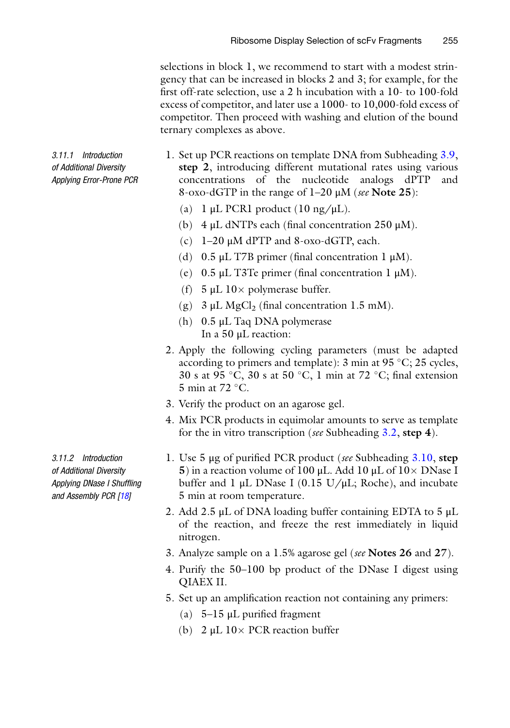selections in block 1, we recommend to start with a modest stringency that can be increased in blocks 2 and 3; for example, for the first off-rate selection, use a 2 h incubation with a 10- to 100-fold excess of competitor, and later use a 1000- to 10,000-fold excess of competitor. Then proceed with washing and elution of the bound ternary complexes as above.

<span id="page-20-0"></span>3.11.1 Introduction of Additional Diversity Applying Error-Prone PCR

- 1. Set up PCR reactions on template DNA from Subheading [3.9,](#page-18-0) step 2, introducing different mutational rates using various concentrations of the nucleotide analogs dPTP and 8-oxo-dGTP in the range of 1–20 μM (see Note 25):
	- (a) 1  $\mu$ L PCR1 product (10 ng/ $\mu$ L).
	- (b)  $4 \mu L$  dNTPs each (final concentration 250  $\mu$ M).
	- (c) 1–20 μM dPTP and 8-oxo-dGTP, each.
	- (d)  $0.5 \mu L$  T7B primer (final concentration 1  $\mu$ M).
	- (e)  $0.5 \mu L$  T3Te primer (final concentration 1  $\mu$ M).
	- (f)  $5 \mu L$  10 $\times$  polymerase buffer.
	- (g)  $3 \mu L$  MgCl<sub>2</sub> (final concentration 1.5 mM).
	- (h) 0.5 μL Taq DNA polymerase In a 50 μL reaction:
- 2. Apply the following cycling parameters (must be adapted according to primers and template):  $3 \text{ min}$  at  $95 \degree \text{C}$ ;  $25 \text{ cycles}$ , 30 s at 95 °C, 30 s at 50 °C, 1 min at 72 °C; final extension 5 min at  $72 °C$ .
- 3. Verify the product on an agarose gel.
- 4. Mix PCR products in equimolar amounts to serve as template for the in vitro transcription (see Subheading [3.2,](#page-13-0) step 4).
- 1. Use 5 μg of purified PCR product (see Subheading [3.10](#page-19-0), step **5**) in a reaction volume of 100 μL. Add 10 μL of  $10 \times$  DNase I buffer and 1  $\mu$ L DNase I (0.15 U/ $\mu$ L; Roche), and incubate 5 min at room temperature.
- 2. Add 2.5 μL of DNA loading buffer containing EDTA to 5 μL of the reaction, and freeze the rest immediately in liquid nitrogen.
- 3. Analyze sample on a 1.5% agarose gel (see Notes 26 and 27).
- 4. Purify the 50–100 bp product of the DNase I digest using QIAEX II.
- 5. Set up an amplification reaction not containing any primers:
	- (a) 5–15 μL purified fragment
	- (b)  $2 \mu L$  10 × PCR reaction buffer

3.11.2 Introduction of Additional Diversity Applying DNase I Shuffling and Assembly PCR [[18](#page-30-0)]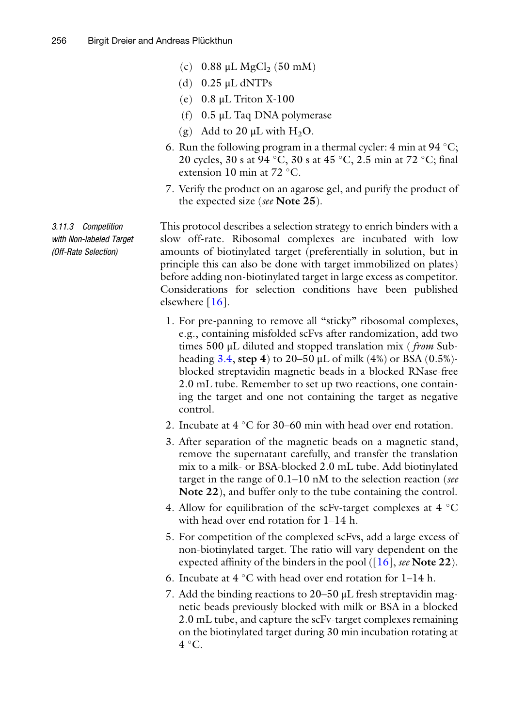- <span id="page-21-0"></span>(c)  $0.88 \mu L \text{ MgCl}_2 (50 \text{ mM})$
- (d)  $0.25 \mu L$  dNTPs
- (e)  $0.8 \mu L$  Triton X-100
- (f) 0.5 μL Taq DNA polymerase
- (g) Add to 20  $\mu$ L with H<sub>2</sub>O.
- 6. Run the following program in a thermal cycler: 4 min at  $94 \text{ }^{\circ}\text{C}$ ; 20 cycles, 30 s at 94 °C, 30 s at 45 °C, 2.5 min at 72 °C; final extension 10 min at  $72 °C$ .
- 7. Verify the product on an agarose gel, and purify the product of the expected size (see Note 25).

3.11.3 Competition with Non-labeled Target (Off-Rate Selection)

This protocol describes a selection strategy to enrich binders with a slow off-rate. Ribosomal complexes are incubated with low amounts of biotinylated target (preferentially in solution, but in principle this can also be done with target immobilized on plates) before adding non-biotinylated target in large excess as competitor. Considerations for selection conditions have been published elsewhere [[16](#page-30-0)].

- 1. For pre-panning to remove all "sticky" ribosomal complexes, e.g., containing misfolded scFvs after randomization, add two times 500  $\mu$ L diluted and stopped translation mix (*from* Subheading  $3.4$ , step  $4$ ) to  $20-50$  µL of milk (4%) or BSA (0.5%)blocked streptavidin magnetic beads in a blocked RNase-free 2.0 mL tube. Remember to set up two reactions, one containing the target and one not containing the target as negative control.
- 2. Incubate at  $4 \degree C$  for 30–60 min with head over end rotation.
- 3. After separation of the magnetic beads on a magnetic stand, remove the supernatant carefully, and transfer the translation mix to a milk- or BSA-blocked 2.0 mL tube. Add biotinylated target in the range of 0.1–10 nM to the selection reaction (see Note 22), and buffer only to the tube containing the control.
- 4. Allow for equilibration of the scFv-target complexes at  $4 °C$ with head over end rotation for 1–14 h.
- 5. For competition of the complexed scFvs, add a large excess of non-biotinylated target. The ratio will vary dependent on the expected affinity of the binders in the pool ( $[16]$  $[16]$ , see Note 22).
- 6. Incubate at  $4^{\circ}$ C with head over end rotation for 1–14 h.
- 7. Add the binding reactions to 20–50 μL fresh streptavidin magnetic beads previously blocked with milk or BSA in a blocked 2.0 mL tube, and capture the scFv-target complexes remaining on the biotinylated target during 30 min incubation rotating at  $4^{\circ}$ C.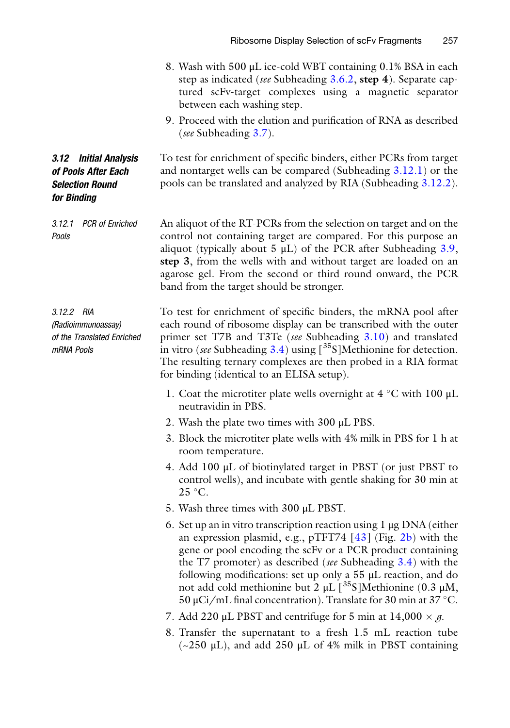- 8. Wash with 500 μL ice-cold WBT containing 0.1% BSA in each step as indicated (see Subheading [3.6.2](#page-16-0), step 4). Separate captured scFv-target complexes using a magnetic separator between each washing step.
- 9. Proceed with the elution and purification of RNA as described (see Subheading [3.7\)](#page-17-0).

<span id="page-22-0"></span>3.12 Initial Analysis of Pools After Each Selection Round To test for enrichment of specific binders, either PCRs from target and nontarget wells can be compared (Subheading 3.12.1) or the pools can be translated and analyzed by RIA (Subheading 3.12.2).

3.12.1 PCR of Enriched **Pools** An aliquot of the RT-PCRs from the selection on target and on the control not containing target are compared. For this purpose an aliquot (typically about 5  $\mu$ L) of the PCR after Subheading [3.9,](#page-18-0) step 3, from the wells with and without target are loaded on an agarose gel. From the second or third round onward, the PCR band from the target should be stronger.

3.12.2 RIA (Radioimmunoassay) of the Translated Enriched mRNA Pools

for Binding

To test for enrichment of specific binders, the mRNA pool after each round of ribosome display can be transcribed with the outer primer set T7B and T3Te (see Subheading [3.10\)](#page-19-0) and translated in vitro (see Subheading  $3.4$ ) using  $[^{35}S]$ Methionine for detection. The resulting ternary complexes are then probed in a RIA format for binding (identical to an ELISA setup).

- 1. Coat the microtiter plate wells overnight at  $4^{\circ}$ C with 100  $\mu$ L neutravidin in PBS.
- 2. Wash the plate two times with 300 μL PBS.
- 3. Block the microtiter plate wells with 4% milk in PBS for 1 h at room temperature.
- 4. Add 100 μL of biotinylated target in PBST (or just PBST to control wells), and incubate with gentle shaking for 30 min at  $25^{\circ}$ C.
- 5. Wash three times with 300 μL PBST.
- 6. Set up an in vitro transcription reaction using 1 μg DNA (either an expression plasmid, e.g., pTFT74 [\[43](#page-31-0)] (Fig. [2b\)](#page-5-0) with the gene or pool encoding the scFv or a PCR product containing the T7 promoter) as described (see Subheading [3.4](#page-14-0)) with the following modifications: set up only a 55 μL reaction, and do not add cold methionine but 2 μL  $\left[3\right]$ <sup>35</sup>S]Methionine (0.3 μM, 50 μCi/mL final concentration). Translate for 30 min at 37 °C.
- 7. Add 220 μL PBST and centrifuge for 5 min at  $14,000 \times g$ .
- 8. Transfer the supernatant to a fresh 1.5 mL reaction tube  $(-250 \mu L)$ , and add 250  $\mu L$  of 4% milk in PBST containing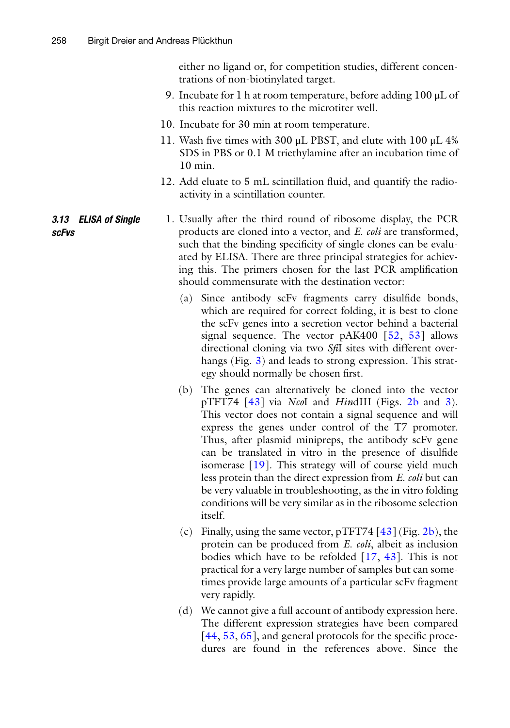either no ligand or, for competition studies, different concentrations of non-biotinylated target.

- <span id="page-23-0"></span>9. Incubate for 1 h at room temperature, before adding 100 μL of this reaction mixtures to the microtiter well.
- 10. Incubate for 30 min at room temperature.
- 11. Wash five times with 300 μL PBST, and elute with 100 μL 4% SDS in PBS or 0.1 M triethylamine after an incubation time of 10 min.
- 12. Add eluate to 5 mL scintillation fluid, and quantify the radioactivity in a scintillation counter.
- 3.13 ELISA of Single scFvs 1. Usually after the third round of ribosome display, the PCR products are cloned into a vector, and E. coli are transformed, such that the binding specificity of single clones can be evaluated by ELISA. There are three principal strategies for achieving this. The primers chosen for the last PCR amplification should commensurate with the destination vector:
	- (a) Since antibody scFv fragments carry disulfide bonds, which are required for correct folding, it is best to clone the scFv genes into a secretion vector behind a bacterial signal sequence. The vector  $pAK400$  [\[52,](#page-32-0) [53](#page-32-0)] allows directional cloning via two *SfiI* sites with different over-hangs (Fig. [3\)](#page-6-0) and leads to strong expression. This strategy should normally be chosen first.
	- (b) The genes can alternatively be cloned into the vector pTFT74  $[43]$  $[43]$  via *NcoI* and *HindIII* (Figs. [2b](#page-5-0) and [3\)](#page-6-0). This vector does not contain a signal sequence and will express the genes under control of the T7 promoter. Thus, after plasmid minipreps, the antibody scFv gene can be translated in vitro in the presence of disulfide isomerase [[19](#page-30-0)]. This strategy will of course yield much less protein than the direct expression from E. coli but can be very valuable in troubleshooting, as the in vitro folding conditions will be very similar as in the ribosome selection itself.
	- (c) Finally, using the same vector,  $pTFT74$  [[43](#page-31-0)] (Fig. [2b](#page-5-0)), the protein can be produced from *E. coli*, albeit as inclusion bodies which have to be refolded [[17](#page-30-0), [43](#page-31-0)]. This is not practical for a very large number of samples but can sometimes provide large amounts of a particular scFv fragment very rapidly.
	- (d) We cannot give a full account of antibody expression here. The different expression strategies have been compared [\[44](#page-32-0), [53](#page-32-0), [65\]](#page-33-0), and general protocols for the specific procedures are found in the references above. Since the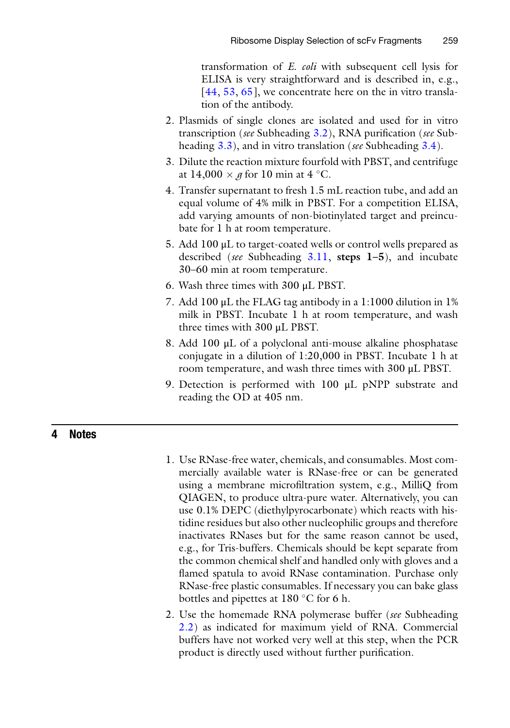transformation of E. coli with subsequent cell lysis for ELISA is very straightforward and is described in, e.g.,  $[44, 53, 65]$  $[44, 53, 65]$  $[44, 53, 65]$  $[44, 53, 65]$  $[44, 53, 65]$ , we concentrate here on the in vitro translation of the antibody.

- 2. Plasmids of single clones are isolated and used for in vitro transcription (see Subheading [3.2\)](#page-13-0), RNA purification (see Sub-heading [3.3](#page-13-0)), and in vitro translation (see Subheading [3.4](#page-14-0)).
- 3. Dilute the reaction mixture fourfold with PBST, and centrifuge at  $14,000 \times g$  for 10 min at 4 °C.
- 4. Transfer supernatant to fresh 1.5 mL reaction tube, and add an equal volume of 4% milk in PBST. For a competition ELISA, add varying amounts of non-biotinylated target and preincubate for 1 h at room temperature.
- 5. Add 100 μL to target-coated wells or control wells prepared as described (see Subheading  $3.11$ , steps  $1-5$ ), and incubate 30–60 min at room temperature.
- 6. Wash three times with 300 μL PBST.
- 7. Add 100 μL the FLAG tag antibody in a 1:1000 dilution in 1% milk in PBST. Incubate 1 h at room temperature, and wash three times with 300 μL PBST.
- 8. Add 100 μL of a polyclonal anti-mouse alkaline phosphatase conjugate in a dilution of 1:20,000 in PBST. Incubate 1 h at room temperature, and wash three times with 300 μL PBST.
- 9. Detection is performed with 100 μL pNPP substrate and reading the OD at 405 nm.

#### 4 Notes

- 1. Use RNase-free water, chemicals, and consumables. Most commercially available water is RNase-free or can be generated using a membrane microfiltration system, e.g., MilliQ from QIAGEN, to produce ultra-pure water. Alternatively, you can use 0.1% DEPC (diethylpyrocarbonate) which reacts with histidine residues but also other nucleophilic groups and therefore inactivates RNases but for the same reason cannot be used, e.g., for Tris-buffers. Chemicals should be kept separate from the common chemical shelf and handled only with gloves and a flamed spatula to avoid RNase contamination. Purchase only RNase-free plastic consumables. If necessary you can bake glass bottles and pipettes at  $180^{\circ}$ C for 6 h.
- 2. Use the homemade RNA polymerase buffer (see Subheading [2.2\)](#page-2-0) as indicated for maximum yield of RNA. Commercial buffers have not worked very well at this step, when the PCR product is directly used without further purification.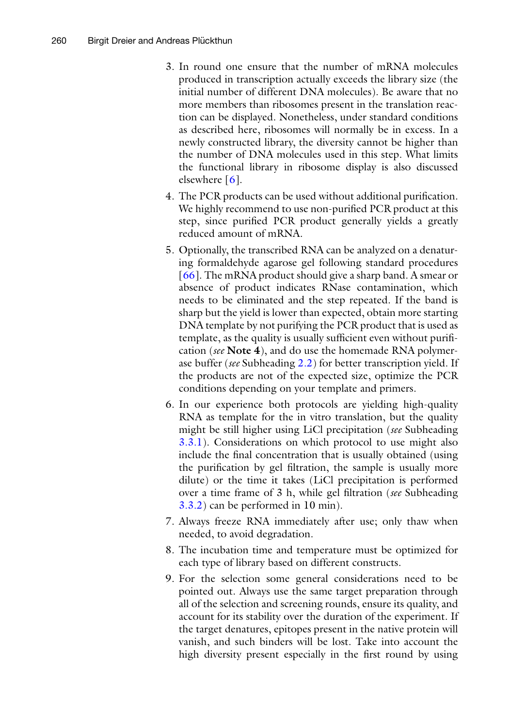- 3. In round one ensure that the number of mRNA molecules produced in transcription actually exceeds the library size (the initial number of different DNA molecules). Be aware that no more members than ribosomes present in the translation reaction can be displayed. Nonetheless, under standard conditions as described here, ribosomes will normally be in excess. In a newly constructed library, the diversity cannot be higher than the number of DNA molecules used in this step. What limits the functional library in ribosome display is also discussed elsewhere  $[6]$ .
- 4. The PCR products can be used without additional purification. We highly recommend to use non-purified PCR product at this step, since purified PCR product generally yields a greatly reduced amount of mRNA.
- 5. Optionally, the transcribed RNA can be analyzed on a denaturing formaldehyde agarose gel following standard procedures [\[66\]](#page-33-0). The mRNA product should give a sharp band. A smear or absence of product indicates RNase contamination, which needs to be eliminated and the step repeated. If the band is sharp but the yield is lower than expected, obtain more starting DNA template by not purifying the PCR product that is used as template, as the quality is usually sufficient even without purification (see Note 4), and do use the homemade RNA polymerase buffer (see Subheading [2.2\)](#page-2-0) for better transcription yield. If the products are not of the expected size, optimize the PCR conditions depending on your template and primers.
- 6. In our experience both protocols are yielding high-quality RNA as template for the in vitro translation, but the quality might be still higher using LiCl precipitation (see Subheading [3.3.1\)](#page-13-0). Considerations on which protocol to use might also include the final concentration that is usually obtained (using the purification by gel filtration, the sample is usually more dilute) or the time it takes (LiCl precipitation is performed over a time frame of 3 h, while gel filtration (see Subheading [3.3.2\)](#page-14-0) can be performed in 10 min).
- 7. Always freeze RNA immediately after use; only thaw when needed, to avoid degradation.
- 8. The incubation time and temperature must be optimized for each type of library based on different constructs.
- 9. For the selection some general considerations need to be pointed out. Always use the same target preparation through all of the selection and screening rounds, ensure its quality, and account for its stability over the duration of the experiment. If the target denatures, epitopes present in the native protein will vanish, and such binders will be lost. Take into account the high diversity present especially in the first round by using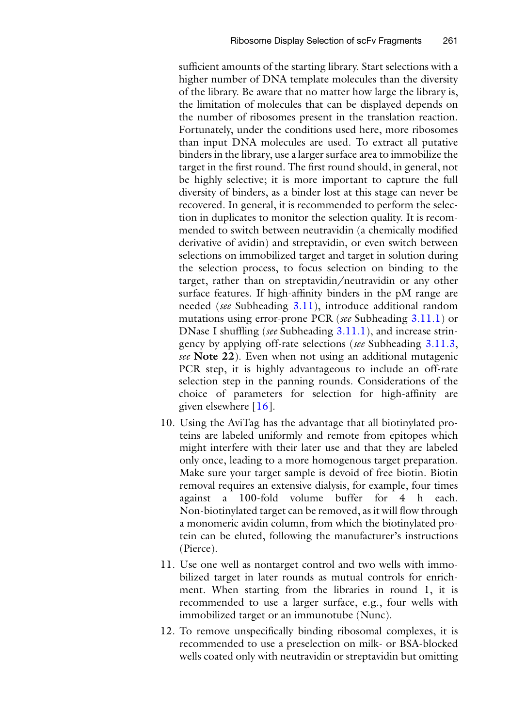sufficient amounts of the starting library. Start selections with a higher number of DNA template molecules than the diversity of the library. Be aware that no matter how large the library is, the limitation of molecules that can be displayed depends on the number of ribosomes present in the translation reaction. Fortunately, under the conditions used here, more ribosomes than input DNA molecules are used. To extract all putative binders in the library, use a larger surface area to immobilize the target in the first round. The first round should, in general, not be highly selective; it is more important to capture the full diversity of binders, as a binder lost at this stage can never be recovered. In general, it is recommended to perform the selection in duplicates to monitor the selection quality. It is recommended to switch between neutravidin (a chemically modified derivative of avidin) and streptavidin, or even switch between selections on immobilized target and target in solution during the selection process, to focus selection on binding to the target, rather than on streptavidin/neutravidin or any other surface features. If high-affinity binders in the pM range are needed (see Subheading [3.11\)](#page-19-0), introduce additional random mutations using error-prone PCR (see Subheading [3.11.1](#page-20-0)) or DNase I shuffling (see Subheading [3.11.1](#page-20-0)), and increase stringency by applying off-rate selections (see Subheading [3.11.3,](#page-21-0) see Note 22). Even when not using an additional mutagenic PCR step, it is highly advantageous to include an off-rate selection step in the panning rounds. Considerations of the choice of parameters for selection for high-affinity are given elsewhere [[16\]](#page-30-0).

- 10. Using the AviTag has the advantage that all biotinylated proteins are labeled uniformly and remote from epitopes which might interfere with their later use and that they are labeled only once, leading to a more homogenous target preparation. Make sure your target sample is devoid of free biotin. Biotin removal requires an extensive dialysis, for example, four times against a 100-fold volume buffer for 4 h each. Non-biotinylated target can be removed, as it will flow through a monomeric avidin column, from which the biotinylated protein can be eluted, following the manufacturer's instructions (Pierce).
- 11. Use one well as nontarget control and two wells with immobilized target in later rounds as mutual controls for enrichment. When starting from the libraries in round 1, it is recommended to use a larger surface, e.g., four wells with immobilized target or an immunotube (Nunc).
- 12. To remove unspecifically binding ribosomal complexes, it is recommended to use a preselection on milk- or BSA-blocked wells coated only with neutravidin or streptavidin but omitting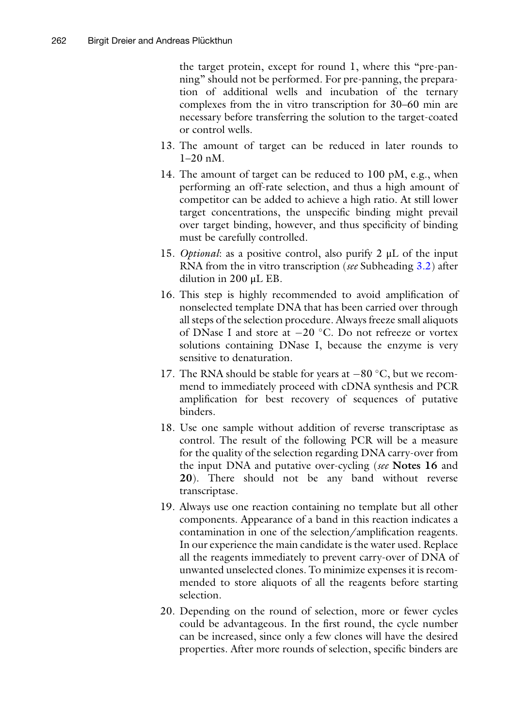the target protein, except for round 1, where this "pre-panning" should not be performed. For pre-panning, the preparation of additional wells and incubation of the ternary complexes from the in vitro transcription for 30–60 min are necessary before transferring the solution to the target-coated or control wells.

- 13. The amount of target can be reduced in later rounds to  $1-20$  nM.
- 14. The amount of target can be reduced to 100 pM, e.g., when performing an off-rate selection, and thus a high amount of competitor can be added to achieve a high ratio. At still lower target concentrations, the unspecific binding might prevail over target binding, however, and thus specificity of binding must be carefully controlled.
- 15. Optional: as a positive control, also purify 2 μL of the input RNA from the in vitro transcription (see Subheading [3.2\)](#page-13-0) after dilution in 200 μL EB.
- 16. This step is highly recommended to avoid amplification of nonselected template DNA that has been carried over through all steps of the selection procedure. Always freeze small aliquots of DNase I and store at  $-20$  °C. Do not refreeze or vortex solutions containing DNase I, because the enzyme is very sensitive to denaturation.
- 17. The RNA should be stable for years at  $-80$  °C, but we recommend to immediately proceed with cDNA synthesis and PCR amplification for best recovery of sequences of putative binders.
- 18. Use one sample without addition of reverse transcriptase as control. The result of the following PCR will be a measure for the quality of the selection regarding DNA carry-over from the input DNA and putative over-cycling (see Notes 16 and 20). There should not be any band without reverse transcriptase.
- 19. Always use one reaction containing no template but all other components. Appearance of a band in this reaction indicates a contamination in one of the selection/amplification reagents. In our experience the main candidate is the water used. Replace all the reagents immediately to prevent carry-over of DNA of unwanted unselected clones. To minimize expenses it is recommended to store aliquots of all the reagents before starting selection.
- 20. Depending on the round of selection, more or fewer cycles could be advantageous. In the first round, the cycle number can be increased, since only a few clones will have the desired properties. After more rounds of selection, specific binders are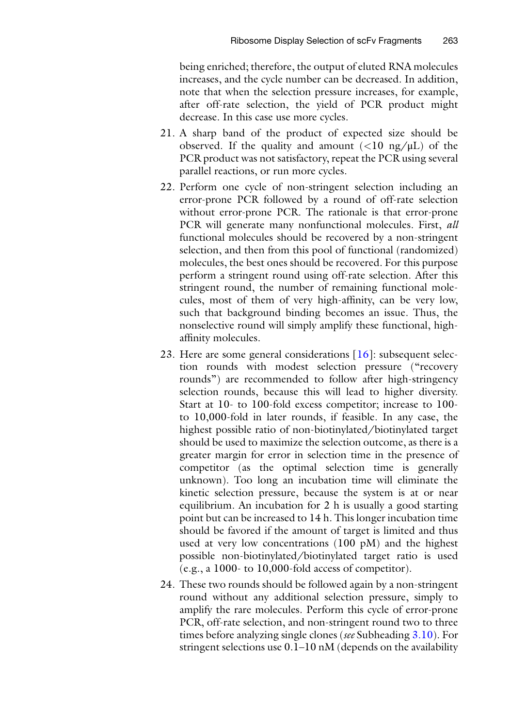being enriched; therefore, the output of eluted RNA molecules increases, and the cycle number can be decreased. In addition, note that when the selection pressure increases, for example, after off-rate selection, the yield of PCR product might decrease. In this case use more cycles.

- 21. A sharp band of the product of expected size should be observed. If the quality and amount  $(<10 \text{ ng/µL})$  of the PCR product was not satisfactory, repeat the PCR using several parallel reactions, or run more cycles.
- 22. Perform one cycle of non-stringent selection including an error-prone PCR followed by a round of off-rate selection without error-prone PCR. The rationale is that error-prone PCR will generate many nonfunctional molecules. First, all functional molecules should be recovered by a non-stringent selection, and then from this pool of functional (randomized) molecules, the best ones should be recovered. For this purpose perform a stringent round using off-rate selection. After this stringent round, the number of remaining functional molecules, most of them of very high-affinity, can be very low, such that background binding becomes an issue. Thus, the nonselective round will simply amplify these functional, highaffinity molecules.
- 23. Here are some general considerations [\[16](#page-30-0)]: subsequent selection rounds with modest selection pressure ("recovery rounds") are recommended to follow after high-stringency selection rounds, because this will lead to higher diversity. Start at 10- to 100-fold excess competitor; increase to 100 to 10,000-fold in later rounds, if feasible. In any case, the highest possible ratio of non-biotinylated/biotinylated target should be used to maximize the selection outcome, as there is a greater margin for error in selection time in the presence of competitor (as the optimal selection time is generally unknown). Too long an incubation time will eliminate the kinetic selection pressure, because the system is at or near equilibrium. An incubation for 2 h is usually a good starting point but can be increased to 14 h. This longer incubation time should be favored if the amount of target is limited and thus used at very low concentrations (100 pM) and the highest possible non-biotinylated/biotinylated target ratio is used (e.g., a 1000- to 10,000-fold access of competitor).
- 24. These two rounds should be followed again by a non-stringent round without any additional selection pressure, simply to amplify the rare molecules. Perform this cycle of error-prone PCR, off-rate selection, and non-stringent round two to three times before analyzing single clones (see Subheading [3.10\)](#page-19-0). For stringent selections use 0.1–10 nM (depends on the availability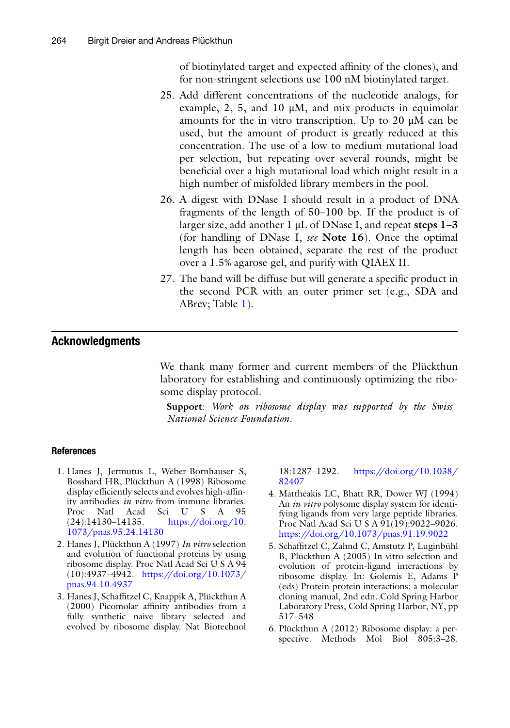of biotinylated target and expected affinity of the clones), and for non-stringent selections use 100 nM biotinylated target.

- <span id="page-29-0"></span>25. Add different concentrations of the nucleotide analogs, for example, 2, 5, and 10  $\mu$ M, and mix products in equimolar amounts for the in vitro transcription. Up to 20 μM can be used, but the amount of product is greatly reduced at this concentration. The use of a low to medium mutational load per selection, but repeating over several rounds, might be beneficial over a high mutational load which might result in a high number of misfolded library members in the pool.
- 26. A digest with DNase I should result in a product of DNA fragments of the length of 50–100 bp. If the product is of larger size, add another  $1 \mu L$  of DNase I, and repeat steps  $1-3$ (for handling of DNase I, see Note  $16$ ). Once the optimal length has been obtained, separate the rest of the product over a 1.5% agarose gel, and purify with QIAEX II.
- 27. The band will be diffuse but will generate a specific product in the second PCR with an outer primer set (e.g., SDA and ABrev; Table [1](#page-7-0)).

### Acknowledgments

We thank many former and current members of the Plückthun laboratory for establishing and continuously optimizing the ribosome display protocol.

Support: Work on ribosome display was supported by the Swiss National Science Foundation.

#### References

- 1. Hanes J, Jermutus L, Weber-Bornhauser S, Bosshard HR, Plückthun A (1998) Ribosome display efficiently selects and evolves high-affinity antibodies in vitro from immune libraries. Proc Natl Acad Sci U S A 95 (24):14130–14135. [https://doi.org/10.](https://doi.org/10.1073/pnas.95.24.14130) [1073/pnas.95.24.14130](https://doi.org/10.1073/pnas.95.24.14130)
- 2. Hanes J, Plückthun A (1997) In vitro selection and evolution of functional proteins by using ribosome display. Proc Natl Acad Sci U S A 94 (10):4937–4942. [https://doi.org/10.1073/](https://doi.org/10.1073/pnas.94.10.4937) [pnas.94.10.4937](https://doi.org/10.1073/pnas.94.10.4937)
- 3. Hanes J, Schaffitzel C, Knappik A, Plückthun A (2000) Picomolar affinity antibodies from a fully synthetic naive library selected and evolved by ribosome display. Nat Biotechnol

18:1287–1292. [https://doi.org/10.1038/](https://doi.org/10.1038/82407) [82407](https://doi.org/10.1038/82407)

- 4. Mattheakis LC, Bhatt RR, Dower WJ (1994) An *in vitro* polysome display system for identifying ligands from very large peptide libraries. Proc Natl Acad Sci U S A 91(19):9022–9026. <https://doi.org/10.1073/pnas.91.19.9022>
- 5. Schaffitzel C, Zahnd C, Amstutz P, Luginbühl B, Plückthun A (2005) In vitro selection and evolution of protein-ligand interactions by ribosome display. In: Golemis E, Adams P (eds) Protein-protein interactions: a molecular cloning manual, 2nd edn. Cold Spring Harbor Laboratory Press, Cold Spring Harbor, NY, pp 517–548
- 6. Plückthun A (2012) Ribosome display: a perspective. Methods Mol Biol 805:3–28.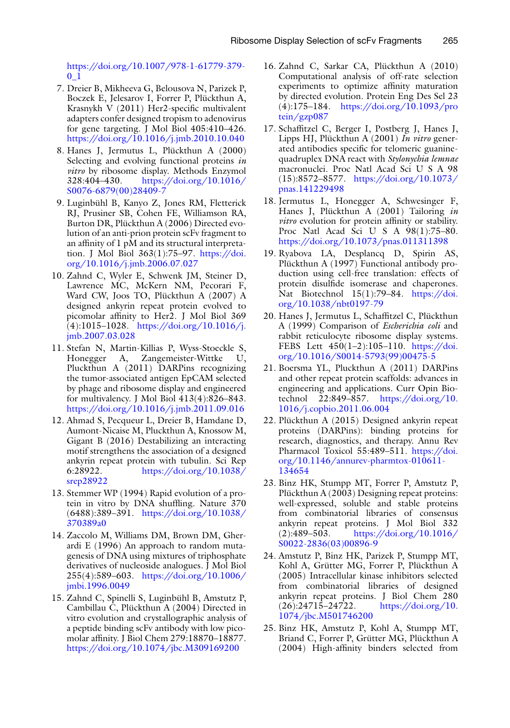<span id="page-30-0"></span>[https://doi.org/10.1007/978-1-61779-379-](https://doi.org/10.1007/978-1-61779-379-0_1) [0\\_1](https://doi.org/10.1007/978-1-61779-379-0_1)

- 7. Dreier B, Mikheeva G, Belousova N, Parizek P, Boczek E, Jelesarov I, Forrer P, Plückthun A, Krasnykh V (2011) Her2-specific multivalent adapters confer designed tropism to adenovirus for gene targeting. J Mol Biol 405:410–426. <https://doi.org/10.1016/j.jmb.2010.10.040>
- 8. Hanes J, Jermutus L, Plückthun A (2000) Selecting and evolving functional proteins in vitro by ribosome display. Methods Enzymol 328:404–430. [https://doi.org/10.1016/](https://doi.org/10.1016/S0076-6879(00)28409-7) [S0076-6879\(00\)28409-7](https://doi.org/10.1016/S0076-6879(00)28409-7)
- 9. Luginbühl B, Kanyo Z, Jones RM, Fletterick RJ, Prusiner SB, Cohen FE, Williamson RA, Burton DR, Plückthun A (2006) Directed evolution of an anti-prion protein scFv fragment to an affinity of 1 pM and its structural interpretation. J Mol Biol 363(1):75–97. [https://doi.](https://doi.org/10.1016/j.jmb.2006.07.027) [org/10.1016/j.jmb.2006.07.027](https://doi.org/10.1016/j.jmb.2006.07.027)
- 10. Zahnd C, Wyler E, Schwenk JM, Steiner D, Lawrence MC, McKern NM, Pecorari F, Ward CW, Joos TO, Plückthun A (2007) A designed ankyrin repeat protein evolved to picomolar affinity to Her2. J Mol Biol 369  $(4):1015-1028.$  [https://doi.org/10.1016/j.](https://doi.org/10.1016/j.jmb.2007.03.028) [jmb.2007.03.028](https://doi.org/10.1016/j.jmb.2007.03.028)
- 11. Stefan N, Martin-Killias P, Wyss-Stoeckle S, Honegger A, Zangemeister-Wittke U, Pluckthun A (2011) DARPins recognizing the tumor-associated antigen EpCAM selected by phage and ribosome display and engineered for multivalency. J Mol Biol 413(4):826–843. <https://doi.org/10.1016/j.jmb.2011.09.016>
- 12. Ahmad S, Pecqueur L, Dreier B, Hamdane D, Aumont-Nicaise M, Pluckthun A, Knossow M, Gigant B (2016) Destabilizing an interacting motif strengthens the association of a designed ankyrin repeat protein with tubulin. Sci Rep 6:28922. [https://doi.org/10.1038/](https://doi.org/10.1038/srep28922) [srep28922](https://doi.org/10.1038/srep28922)
- 13. Stemmer WP (1994) Rapid evolution of a protein in vitro by DNA shuffling. Nature 370 (6488):389–391. [https://doi.org/10.1038/](https://doi.org/10.1038/370389a0) [370389a0](https://doi.org/10.1038/370389a0)
- 14. Zaccolo M, Williams DM, Brown DM, Gherardi E (1996) An approach to random mutagenesis of DNA using mixtures of triphosphate derivatives of nucleoside analogues. J Mol Biol 255(4):589–603. [https://doi.org/10.1006/](https://doi.org/10.1006/jmbi.1996.0049) [jmbi.1996.0049](https://doi.org/10.1006/jmbi.1996.0049)
- 15. Zahnd C, Spinelli S, Luginbühl B, Amstutz P, Cambillau C, Plückthun A (2004) Directed in vitro evolution and crystallographic analysis of a peptide binding scFv antibody with low picomolar affinity. J Biol Chem 279:18870–18877. <https://doi.org/10.1074/jbc.M309169200>
- 16. Zahnd C, Sarkar CA, Plückthun A (2010) Computational analysis of off-rate selection experiments to optimize affinity maturation by directed evolution. Protein Eng Des Sel 23 (4):175–184. [https://doi.org/10.1093/pro](https://doi.org/10.1093/protein/gzp087) [tein/gzp087](https://doi.org/10.1093/protein/gzp087)
- 17. Schaffitzel C, Berger I, Postberg J, Hanes J, Lipps HJ, Plückthun A  $(2001)$  In vitro generated antibodies specific for telomeric guaninequadruplex DNA react with Stylonychia lemnae macronuclei. Proc Natl Acad Sci U S A 98 (15):8572–8577. [https://doi.org/10.1073/](https://doi.org/10.1073/pnas.141229498) [pnas.141229498](https://doi.org/10.1073/pnas.141229498)
- 18. Jermutus L, Honegger A, Schwesinger F, Hanes J, Plückthun A (2001) Tailoring in vitro evolution for protein affinity or stability. Proc Natl Acad Sci U S A 98(1):75–80. <https://doi.org/10.1073/pnas.011311398>
- 19. Ryabova LA, Desplancq D, Spirin AS, Plückthun A (1997) Functional antibody production using cell-free translation: effects of protein disulfide isomerase and chaperones. Nat Biotechnol 15(1):79-84. [https://doi.](https://doi.org/10.1038/nbt0197-79) [org/10.1038/nbt0197-79](https://doi.org/10.1038/nbt0197-79)
- 20. Hanes J, Jermutus L, Schaffitzel C, Plückthun A (1999) Comparison of Escherichia coli and rabbit reticulocyte ribosome display systems. FEBS Lett 450(1–2):105–110. [https://doi.](https://doi.org/10.1016/S0014-5793(99)00475-5) [org/10.1016/S0014-5793\(99\)00475-5](https://doi.org/10.1016/S0014-5793(99)00475-5)
- 21. Boersma YL, Pluckthun A (2011) DARPins and other repeat protein scaffolds: advances in engineering and applications. Curr Opin Biotechnol 22:849–857. [https://doi.org/10.](https://doi.org/10.1016/j.copbio.2011.06.004) [1016/j.copbio.2011.06.004](https://doi.org/10.1016/j.copbio.2011.06.004)
- $22$ . Plückthun A (2015) Designed ankyrin repeat proteins (DARPins): binding proteins for research, diagnostics, and therapy. Annu Rev Pharmacol Toxicol 55:489–511. [https://doi.](https://doi.org/10.1146/annurev-pharmtox-010611-134654) [org/10.1146/annurev-pharmtox-010611-](https://doi.org/10.1146/annurev-pharmtox-010611-134654) [134654](https://doi.org/10.1146/annurev-pharmtox-010611-134654)
- 23. Binz HK, Stumpp MT, Forrer P, Amstutz P, Plückthun A (2003) Designing repeat proteins: well-expressed, soluble and stable proteins from combinatorial libraries of consensus ankyrin repeat proteins. J Mol Biol 332 (2):489–503. [https://doi.org/10.1016/](https://doi.org/10.1016/S0022-2836(03)00896-9) [S0022-2836\(03\)00896-9](https://doi.org/10.1016/S0022-2836(03)00896-9)
- 24. Amstutz P, Binz HK, Parizek P, Stumpp MT, Kohl A, Grütter MG, Forrer P, Plückthun A (2005) Intracellular kinase inhibitors selected from combinatorial libraries of designed ankyrin repeat proteins. J Biol Chem 280  $(26):24715-24722.$  [https://doi.org/10.](https://doi.org/10.1074/jbc.M501746200) [1074/jbc.M501746200](https://doi.org/10.1074/jbc.M501746200)
- 25. Binz HK, Amstutz P, Kohl A, Stumpp MT, Briand C, Forrer P, Grütter MG, Plückthun A (2004) High-affinity binders selected from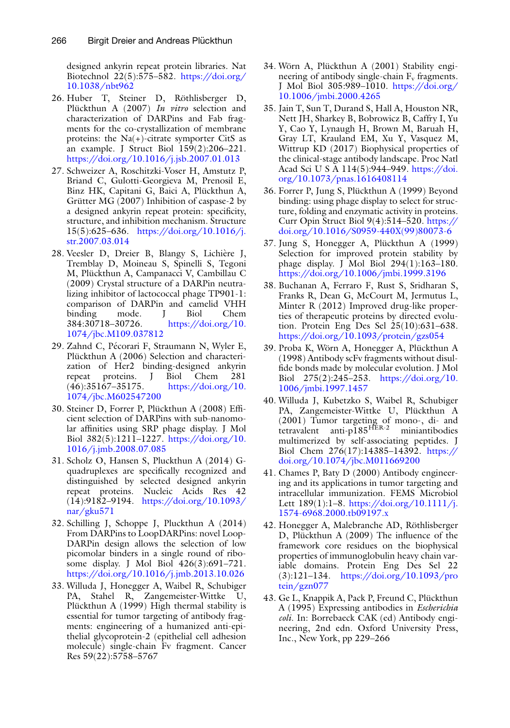<span id="page-31-0"></span>designed ankyrin repeat protein libraries. Nat Biotechnol 22(5):575–582. [https://doi.org/](https://doi.org/10.1038/nbt962) [10.1038/nbt962](https://doi.org/10.1038/nbt962)

- 26. Huber T, Steiner D, Röthlisberger D, Plückthun A  $(2007)$  In vitro selection and characterization of DARPins and Fab fragments for the co-crystallization of membrane proteins: the  $Na(+)$ -citrate symporter CitS as an example. J Struct Biol 159(2):206–221. <https://doi.org/10.1016/j.jsb.2007.01.013>
- 27. Schweizer A, Roschitzki-Voser H, Amstutz P, Briand C, Gulotti-Georgieva M, Prenosil E, Binz HK, Capitani G, Baici A, Plückthun A, Grütter MG  $(2007)$  Inhibition of caspase-2 by a designed ankyrin repeat protein: specificity, structure, and inhibition mechanism. Structure 15(5):625–636. [https://doi.org/10.1016/j.](https://doi.org/10.1016/j.str.2007.03.014) [str.2007.03.014](https://doi.org/10.1016/j.str.2007.03.014)
- 28. Veesler D, Dreier B, Blangy S, Lichière J, Tremblay D, Moineau S, Spinelli S, Tegoni M, Plückthun A, Campanacci V, Cambillau C (2009) Crystal structure of a DARPin neutralizing inhibitor of lactococcal phage TP901-1: comparison of DARPin and camelid VHH binding mode. J Biol Chem 384:30718–30726. [https://doi.org/10.](https://doi.org/10.1074/jbc.M109.037812) [1074/jbc.M109.037812](https://doi.org/10.1074/jbc.M109.037812)
- 29. Zahnd C, Pécorari F, Straumann N, Wyler E, Plückthun A (2006) Selection and characterization of Her2 binding-designed ankyrin repeat proteins. J Biol Chem 281 (46):35167-35175. https://doi.org/10. [https://doi.org/10.](https://doi.org/10.1074/jbc.M602547200) [1074/jbc.M602547200](https://doi.org/10.1074/jbc.M602547200)
- 30. Steiner D, Forrer P, Plückthun A (2008) Efficient selection of DARPins with sub-nanomolar affinities using SRP phage display. J Mol Biol 382(5):1211–1227. [https://doi.org/10.](https://doi.org/10.1016/j.jmb.2008.07.085) [1016/j.jmb.2008.07.085](https://doi.org/10.1016/j.jmb.2008.07.085)
- 31. Scholz O, Hansen S, Pluckthun A (2014) Gquadruplexes are specifically recognized and distinguished by selected designed ankyrin repeat proteins. Nucleic Acids Res 42 (14):9182–9194. [https://doi.org/10.1093/](https://doi.org/10.1093/nar/gku571) [nar/gku571](https://doi.org/10.1093/nar/gku571)
- 32. Schilling J, Schoppe J, Pluckthun A (2014) From DARPins to LoopDARPins: novel Loop-DARPin design allows the selection of low picomolar binders in a single round of ribosome display. J Mol Biol 426(3):691–721. <https://doi.org/10.1016/j.jmb.2013.10.026>
- 33. Willuda J, Honegger A, Waibel R, Schubiger PA, Stahel R, Zangemeister-Wittke U, Plückthun A (1999) High thermal stability is essential for tumor targeting of antibody fragments: engineering of a humanized anti-epithelial glycoprotein-2 (epithelial cell adhesion molecule) single-chain Fv fragment. Cancer Res 59(22):5758–5767
- 34. Wörn A, Plückthun A (2001) Stability engineering of antibody single-chain  $F_v$  fragments. J Mol Biol 305:989–1010. [https://doi.org/](https://doi.org/10.1006/jmbi.2000.4265) [10.1006/jmbi.2000.4265](https://doi.org/10.1006/jmbi.2000.4265)
- 35. Jain T, Sun T, Durand S, Hall A, Houston NR, Nett JH, Sharkey B, Bobrowicz B, Caffry I, Yu Y, Cao Y, Lynaugh H, Brown M, Baruah H, Gray LT, Krauland EM, Xu Y, Vasquez M, Wittrup KD (2017) Biophysical properties of the clinical-stage antibody landscape. Proc Natl Acad Sci U S A 114(5):944–949. [https://doi.](https://doi.org/10.1073/pnas.1616408114) [org/10.1073/pnas.1616408114](https://doi.org/10.1073/pnas.1616408114)
- 36. Forrer P, Jung S, Plückthun A (1999) Beyond binding: using phage display to select for structure, folding and enzymatic activity in proteins. Curr Opin Struct Biol 9(4):514–520. [https://](https://doi.org/10.1016/S0959-440X(99)80073-6) [doi.org/10.1016/S0959-440X\(99\)80073-6](https://doi.org/10.1016/S0959-440X(99)80073-6)
- 37. Jung S, Honegger A, Plückthun A (1999) Selection for improved protein stability by phage display. J Mol Biol 294(1):163–180. <https://doi.org/10.1006/jmbi.1999.3196>
- 38. Buchanan A, Ferraro F, Rust S, Sridharan S, Franks R, Dean G, McCourt M, Jermutus L, Minter R (2012) Improved drug-like properties of therapeutic proteins by directed evolution. Protein Eng Des Sel 25(10):631–638. <https://doi.org/10.1093/protein/gzs054>
- 39. Proba K, Wörn A, Honegger A, Plückthun A (1998) Antibody scFv fragments without disulfide bonds made by molecular evolution. J Mol Biol 275(2):245–253. [https://doi.org/10.](https://doi.org/10.1006/jmbi.1997.1457) [1006/jmbi.1997.1457](https://doi.org/10.1006/jmbi.1997.1457)
- 40. Willuda J, Kubetzko S, Waibel R, Schubiger PA, Zangemeister-Wittke U, Plückthun A (2001) Tumor targeting of mono-, di- and<br>tetravalent anti-p185<sup>HER-2</sup> miniantibodies multimerized by self-associating peptides. J Biol Chem 276(17):14385–14392. [https://](https://doi.org/10.1074/jbc.M011669200) [doi.org/10.1074/jbc.M011669200](https://doi.org/10.1074/jbc.M011669200)
- 41. Chames P, Baty D (2000) Antibody engineering and its applications in tumor targeting and intracellular immunization. FEMS Microbiol Lett 189(1):1–8. [https://doi.org/10.1111/j.](https://doi.org/10.1111/j.1574-6968.2000.tb09197.x) [1574-6968.2000.tb09197.x](https://doi.org/10.1111/j.1574-6968.2000.tb09197.x)
- 42. Honegger A, Malebranche AD, Röthlisberger D, Plückthun A (2009) The influence of the framework core residues on the biophysical properties of immunoglobulin heavy chain variable domains. Protein Eng Des Sel 22 (3):121–134. [https://doi.org/10.1093/pro](https://doi.org/10.1093/protein/gzn077) [tein/gzn077](https://doi.org/10.1093/protein/gzn077)
- 43. Ge L, Knappik A, Pack P, Freund C, Plückthun A (1995) Expressing antibodies in Escherichia coli. In: Borrebaeck CAK (ed) Antibody engineering, 2nd edn. Oxford University Press, Inc., New York, pp 229–266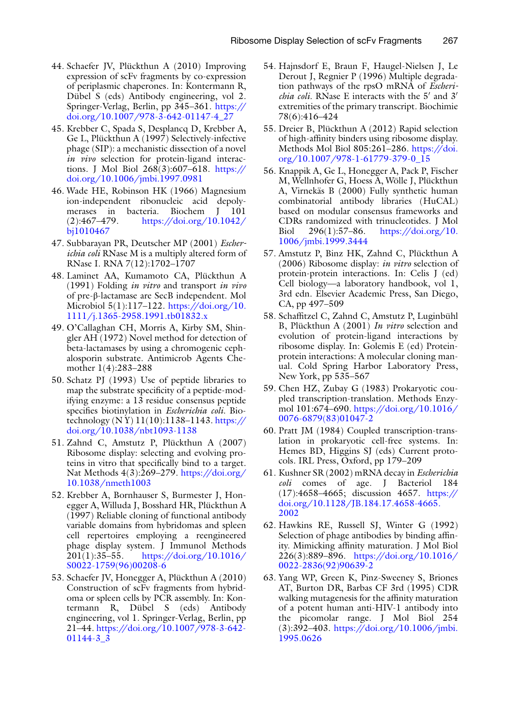- <span id="page-32-0"></span>44. Schaefer JV, Plückthun A (2010) Improving expression of scFv fragments by co-expression of periplasmic chaperones. In: Kontermann R, Dübel S (eds) Antibody engineering, vol 2. Springer-Verlag, Berlin, pp 345–361. [https://](https://doi.org/10.1007/978-3-642-01147-4_27) [doi.org/10.1007/978-3-642-01147-4\\_27](https://doi.org/10.1007/978-3-642-01147-4_27)
- 45. Krebber C, Spada S, Desplancq D, Krebber A, Ge L, Plückthun A (1997) Selectively-infective phage (SIP): a mechanistic dissection of a novel in vivo selection for protein-ligand interactions. J Mol Biol 268(3):607–618. [https://](https://doi.org/10.1006/jmbi.1997.0981) [doi.org/10.1006/jmbi.1997.0981](https://doi.org/10.1006/jmbi.1997.0981)
- 46. Wade HE, Robinson HK (1966) Magnesium ion-independent ribonucleic acid depolymerases in bacteria. Biochem J 101 (2):467–479. [https://doi.org/10.1042/](https://doi.org/10.1042/bj1010467) [bj1010467](https://doi.org/10.1042/bj1010467)
- 47. Subbarayan PR, Deutscher MP (2001) Escherichia coli RNase M is a multiply altered form of RNase I. RNA 7(12):1702–1707
- 48. Laminet AA, Kumamoto CA, Plückthun A (1991) Folding in vitro and transport in vivo of pre-β-lactamase are SecB independent. Mol Microbiol 5(1):117–122. [https://doi.org/10.](https://doi.org/10.1111/j.1365-2958.1991.tb01832.x) [1111/j.1365-2958.1991.tb01832.x](https://doi.org/10.1111/j.1365-2958.1991.tb01832.x)
- 49. O'Callaghan CH, Morris A, Kirby SM, Shingler AH (1972) Novel method for detection of beta-lactamases by using a chromogenic cephalosporin substrate. Antimicrob Agents Chemother 1(4):283–288
- 50. Schatz PJ (1993) Use of peptide libraries to map the substrate specificity of a peptide-modifying enzyme: a 13 residue consensus peptide specifies biotinylation in Escherichia coli. Biotechnology (N Y) 11(10):1138–1143. [https://](https://doi.org/10.1038/nbt1093-1138) [doi.org/10.1038/nbt1093-1138](https://doi.org/10.1038/nbt1093-1138)
- 51. Zahnd C, Amstutz P, Plückthun A (2007) Ribosome display: selecting and evolving proteins in vitro that specifically bind to a target. Nat Methods 4(3):269–279. [https://doi.org/](https://doi.org/10.1038/nmeth1003) [10.1038/nmeth1003](https://doi.org/10.1038/nmeth1003)
- 52. Krebber A, Bornhauser S, Burmester J, Honegger A, Willuda J, Bosshard HR, Plückthun A (1997) Reliable cloning of functional antibody variable domains from hybridomas and spleen cell repertoires employing a reengineered phage display system. J Immunol Methods 201(1):35–55. [https://doi.org/10.1016/](https://doi.org/10.1016/S0022-1759(96)00208-6) [S0022-1759\(96\)00208-6](https://doi.org/10.1016/S0022-1759(96)00208-6)
- 53. Schaefer JV, Honegger A, Plückthun A (2010) Construction of scFv fragments from hybridoma or spleen cells by PCR assembly. In: Kontermann R, Dübel S (eds) Antibody engineering, vol 1. Springer-Verlag, Berlin, pp 21–44. [https://doi.org/10.1007/978-3-642-](https://doi.org/10.1007/978-3-642-01144-3_3) [01144-3\\_3](https://doi.org/10.1007/978-3-642-01144-3_3)
- 54. Hajnsdorf E, Braun F, Haugel-Nielsen J, Le Derout J, Regnier P (1996) Multiple degradation pathways of the rpsO mRNA of Escheri*chia coli.* RNase E interacts with the  $5'$  and  $3'$ extremities of the primary transcript. Biochimie 78(6):416–424
- 55. Dreier B, Plückthun A (2012) Rapid selection of high-affinity binders using ribosome display. Methods Mol Biol 805:261–286. [https://doi.](https://doi.org/10.1007/978-1-61779-379-0_15) [org/10.1007/978-1-61779-379-0\\_15](https://doi.org/10.1007/978-1-61779-379-0_15)
- 56. Knappik A, Ge L, Honegger A, Pack P, Fischer M, Wellnhofer G, Hoess A, Wölle J, Plückthun A, Virnekäs B (2000) Fully synthetic human combinatorial antibody libraries (HuCAL) based on modular consensus frameworks and CDRs randomized with trinucleotides. J Mol Biol 296(1):57–86. [https://doi.org/10.](https://doi.org/10.1006/jmbi.1999.3444) [1006/jmbi.1999.3444](https://doi.org/10.1006/jmbi.1999.3444)
- 57. Amstutz P, Binz HK, Zahnd C, Plückthun A (2006) Ribosome display: in vitro selection of protein-protein interactions. In: Celis J (ed) Cell biology—a laboratory handbook, vol 1, 3rd edn. Elsevier Academic Press, San Diego, CA, pp 497–509
- 58. Schaffitzel C, Zahnd C, Amstutz P, Luginbühl B, Plückthun A  $(2001)$  In vitro selection and evolution of protein-ligand interactions by ribosome display. In: Golemis E (ed) Proteinprotein interactions: A molecular cloning manual. Cold Spring Harbor Laboratory Press, New York, pp 535–567
- 59. Chen HZ, Zubay G (1983) Prokaryotic coupled transcription-translation. Methods Enzymol 101:674–690. [https://doi.org/10.1016/](https://doi.org/10.1016/0076-6879(83)01047-2) [0076-6879\(83\)01047-2](https://doi.org/10.1016/0076-6879(83)01047-2)
- 60. Pratt JM (1984) Coupled transcription-translation in prokaryotic cell-free systems. In: Hemes BD, Higgins SJ (eds) Current protocols. IRL Press, Oxford, pp 179–209
- 61. Kushner SR (2002) mRNA decay in Escherichia coli comes of age. J Bacteriol 184 (17):4658–4665; discussion 4657. [https://](https://doi.org/10.1128/JB.184.17.4658-4665.2002) [doi.org/10.1128/JB.184.17.4658-4665.](https://doi.org/10.1128/JB.184.17.4658-4665.2002) [2002](https://doi.org/10.1128/JB.184.17.4658-4665.2002)
- 62. Hawkins RE, Russell SJ, Winter G (1992) Selection of phage antibodies by binding affinity. Mimicking affinity maturation. J Mol Biol 226(3):889–896. [https://doi.org/10.1016/](https://doi.org/10.1016/0022-2836(92)90639-2) [0022-2836\(92\)90639-2](https://doi.org/10.1016/0022-2836(92)90639-2)
- 63. Yang WP, Green K, Pinz-Sweeney S, Briones AT, Burton DR, Barbas CF 3rd (1995) CDR walking mutagenesis for the affinity maturation of a potent human anti-HIV-1 antibody into the picomolar range. J Mol Biol 254 (3):392–403. [https://doi.org/10.1006/jmbi.](https://doi.org/10.1006/jmbi.1995.0626) [1995.0626](https://doi.org/10.1006/jmbi.1995.0626)